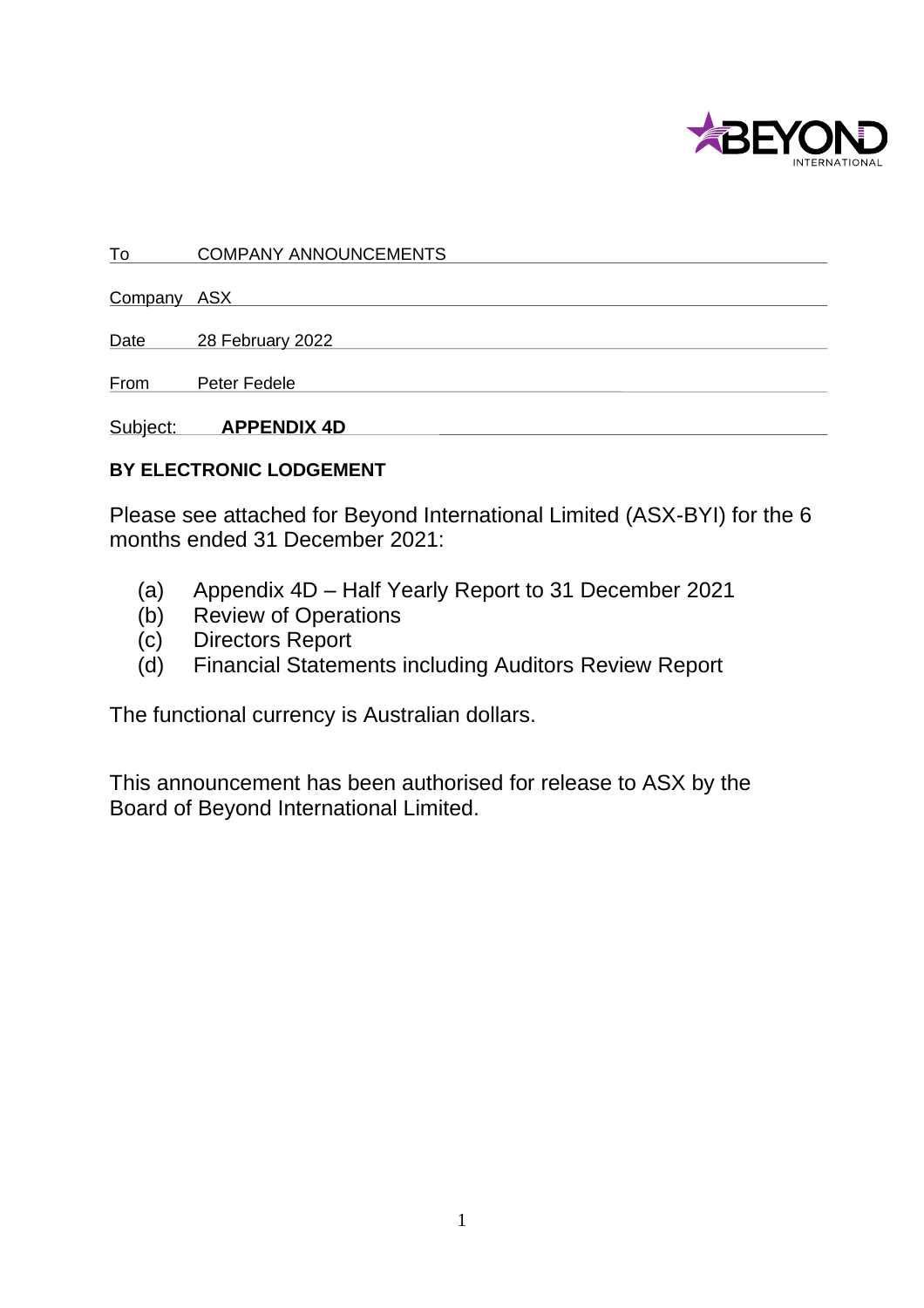

To COMPANY ANNOUNCEMENTS

Company ASX

Date 28 February 2022

From Peter Fedele

Subject: **APPENDIX 4D** 

## **BY ELECTRONIC LODGEMENT**

Please see attached for Beyond International Limited (ASX-BYI) for the 6 months ended 31 December 2021:

- (a) Appendix 4D Half Yearly Report to 31 December 2021
- (b) Review of Operations
- (c) Directors Report
- (d) Financial Statements including Auditors Review Report

The functional currency is Australian dollars.

This announcement has been authorised for release to ASX by the Board of Beyond International Limited.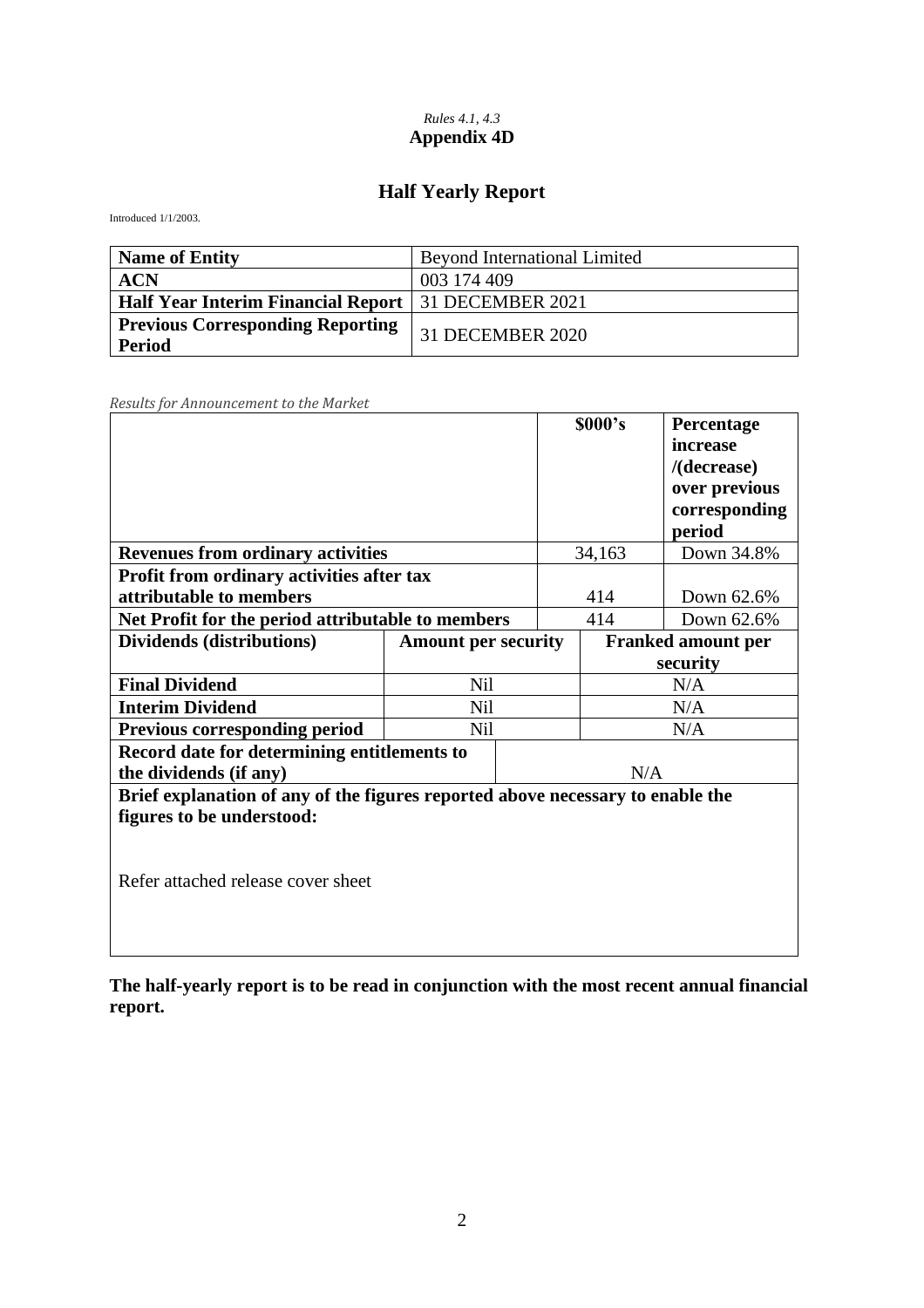#### *Rules 4.1, 4.3* **Appendix 4D**

# **Half Yearly Report**

Introduced 1/1/2003.

| <b>Name of Entity</b>                                        | <b>Beyond International Limited</b> |
|--------------------------------------------------------------|-------------------------------------|
| <b>ACN</b>                                                   | 003 174 409                         |
| <b>Half Year Interim Financial Report</b>   31 DECEMBER 2021 |                                     |
| <b>Previous Corresponding Reporting</b><br><b>Period</b>     | 31 DECEMBER 2020                    |

*Results for Announcement to the Market*

|                                                                                |                            |     | \$000's                   | Percentage     |
|--------------------------------------------------------------------------------|----------------------------|-----|---------------------------|----------------|
|                                                                                |                            |     |                           | increase       |
|                                                                                |                            |     |                           | $/$ (decrease) |
|                                                                                |                            |     |                           | over previous  |
|                                                                                |                            |     |                           | corresponding  |
|                                                                                |                            |     |                           | period         |
| <b>Revenues from ordinary activities</b>                                       |                            |     | 34,163                    | Down 34.8%     |
| Profit from ordinary activities after tax                                      |                            |     |                           |                |
| attributable to members                                                        |                            |     | 414                       | Down 62.6%     |
| Net Profit for the period attributable to members                              |                            |     | 414                       | Down 62.6%     |
| Dividends (distributions)                                                      | <b>Amount per security</b> |     | <b>Franked amount per</b> |                |
|                                                                                |                            |     |                           | security       |
| <b>Final Dividend</b>                                                          | <b>Nil</b>                 |     |                           | N/A            |
| <b>Interim Dividend</b><br>Nil                                                 |                            |     |                           | N/A            |
| <b>Previous corresponding period</b><br>Nil                                    |                            | N/A |                           |                |
| Record date for determining entitlements to                                    |                            |     |                           |                |
| the dividends (if any)                                                         |                            |     | N/A                       |                |
| Brief explanation of any of the figures reported above necessary to enable the |                            |     |                           |                |
| figures to be understood:                                                      |                            |     |                           |                |
|                                                                                |                            |     |                           |                |
|                                                                                |                            |     |                           |                |
| Refer attached release cover sheet                                             |                            |     |                           |                |
|                                                                                |                            |     |                           |                |
|                                                                                |                            |     |                           |                |

**The half-yearly report is to be read in conjunction with the most recent annual financial report.**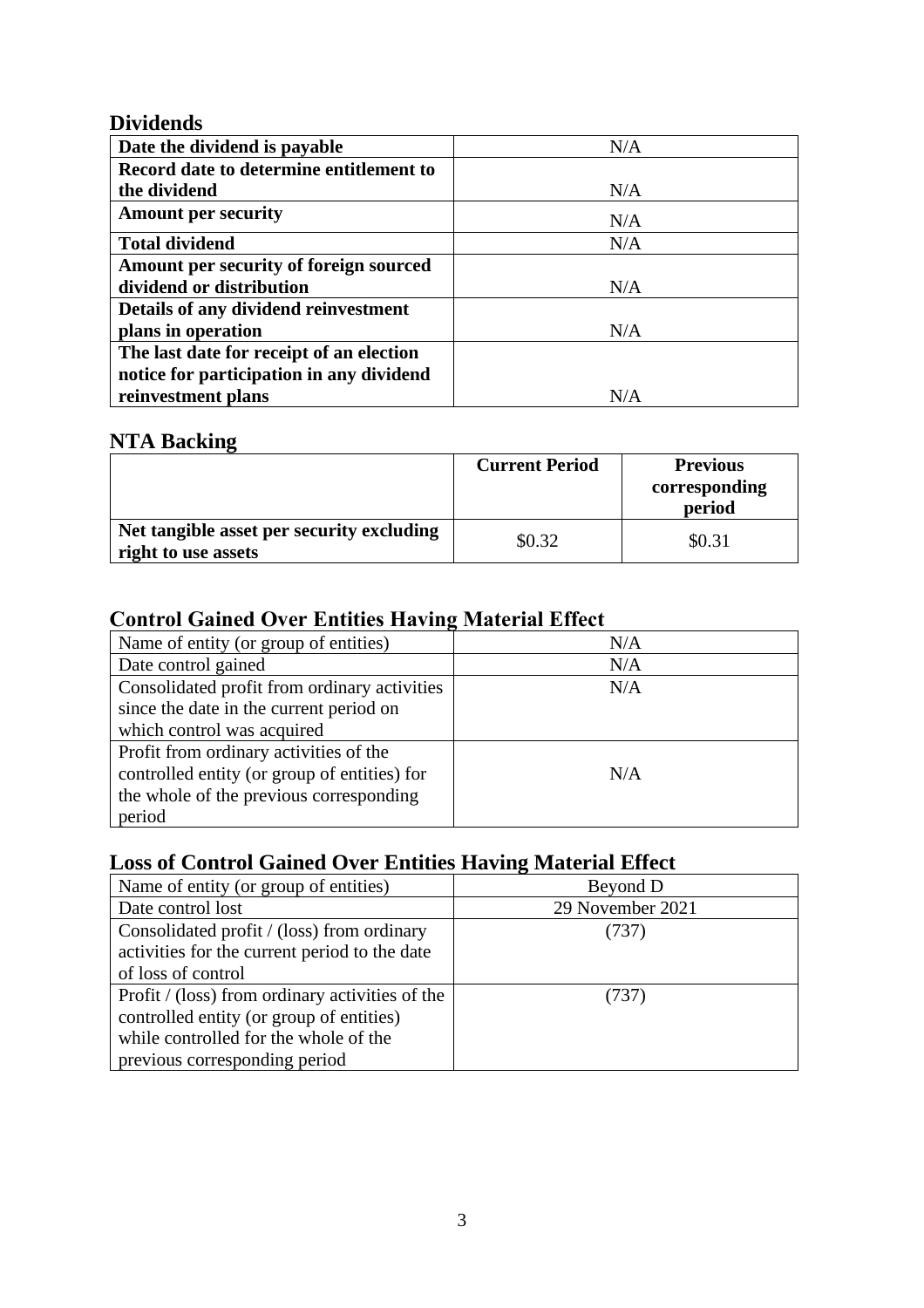## **Dividends**

| Date the dividend is payable             | N/A |
|------------------------------------------|-----|
| Record date to determine entitlement to  |     |
| the dividend                             | N/A |
| <b>Amount per security</b>               | N/A |
| <b>Total dividend</b>                    | N/A |
| Amount per security of foreign sourced   |     |
| dividend or distribution                 | N/A |
| Details of any dividend reinvestment     |     |
| plans in operation                       | N/A |
| The last date for receipt of an election |     |
| notice for participation in any dividend |     |
| reinvestment plans                       | N/A |

# **NTA Backing**

|                                                                  | <b>Current Period</b> | <b>Previous</b><br>corresponding<br>period |
|------------------------------------------------------------------|-----------------------|--------------------------------------------|
| Net tangible asset per security excluding<br>right to use assets | \$0.32                | \$0.31                                     |

# **Control Gained Over Entities Having Material Effect**

| Name of entity (or group of entities)        | N/A |
|----------------------------------------------|-----|
| Date control gained                          | N/A |
| Consolidated profit from ordinary activities | N/A |
| since the date in the current period on      |     |
| which control was acquired                   |     |
| Profit from ordinary activities of the       |     |
| controlled entity (or group of entities) for | N/A |
| the whole of the previous corresponding      |     |
| period                                       |     |

# **Loss of Control Gained Over Entities Having Material Effect**

| Name of entity (or group of entities)           | Beyond D         |
|-------------------------------------------------|------------------|
| Date control lost                               | 29 November 2021 |
| Consolidated profit / (loss) from ordinary      | (737)            |
| activities for the current period to the date   |                  |
| of loss of control                              |                  |
| Profit / (loss) from ordinary activities of the | (737)            |
| controlled entity (or group of entities)        |                  |
| while controlled for the whole of the           |                  |
| previous corresponding period                   |                  |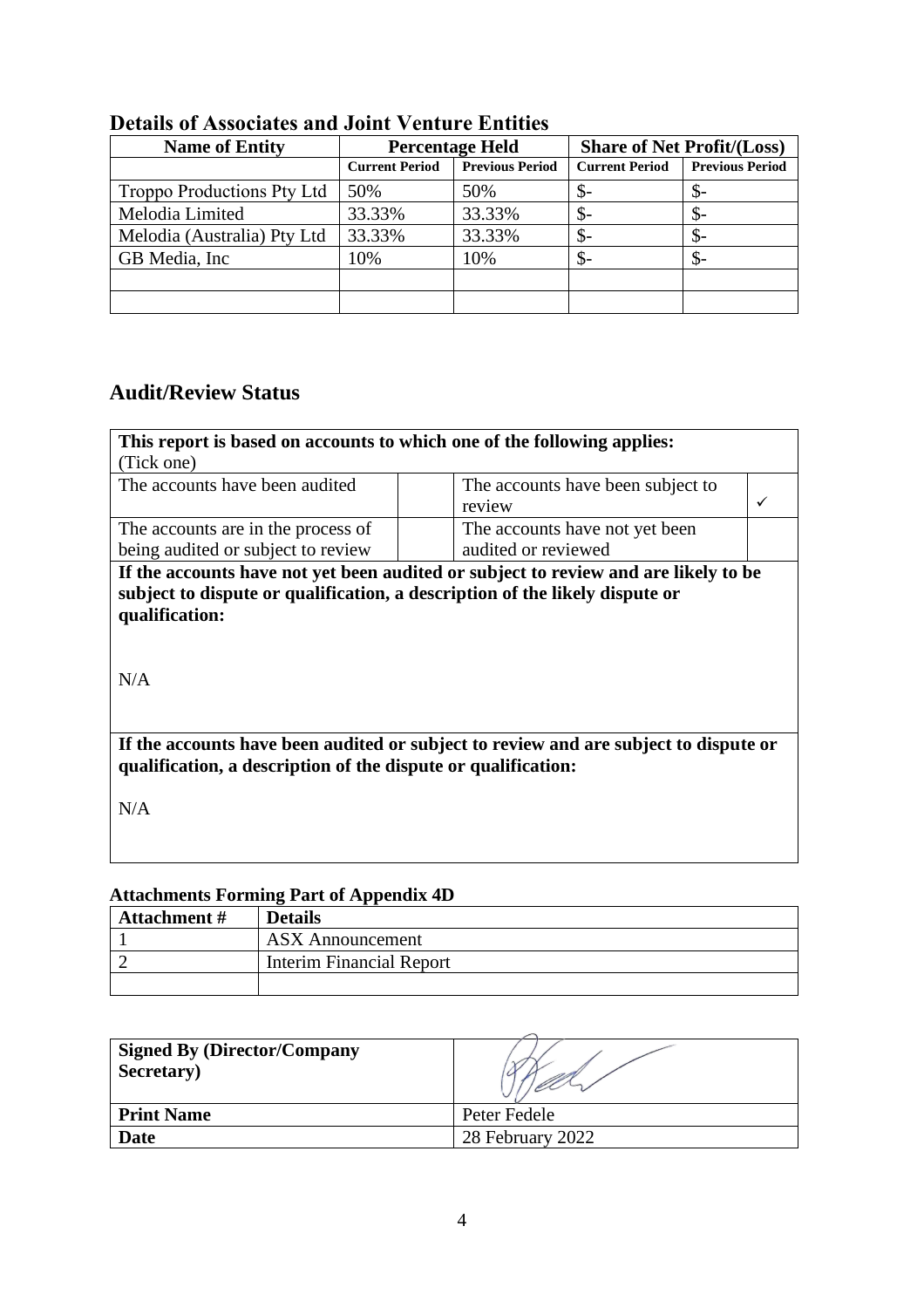| <b>Name of Entity</b>       | <b>Percentage Held</b> |                        | <b>Share of Net Profit/(Loss)</b> |                        |  |  |
|-----------------------------|------------------------|------------------------|-----------------------------------|------------------------|--|--|
|                             | <b>Current Period</b>  | <b>Previous Period</b> | <b>Current Period</b>             | <b>Previous Period</b> |  |  |
| Troppo Productions Pty Ltd  | 50%                    | 50%                    | \$-                               | \$-                    |  |  |
| Melodia Limited             | 33.33%                 | 33.33%                 | \$-                               | \$-                    |  |  |
| Melodia (Australia) Pty Ltd | 33.33%                 | 33.33%                 | \$-                               | \$-                    |  |  |
| GB Media, Inc.              | 10%                    | 10%                    | \$-                               | \$-                    |  |  |
|                             |                        |                        |                                   |                        |  |  |
|                             |                        |                        |                                   |                        |  |  |

# **Details of Associates and Joint Venture Entities**

# **Audit/Review Status**

| This report is based on accounts to which one of the following applies:                                                                                                                     |                                             |  |  |  |
|---------------------------------------------------------------------------------------------------------------------------------------------------------------------------------------------|---------------------------------------------|--|--|--|
| (Tick one)                                                                                                                                                                                  |                                             |  |  |  |
| The accounts have been audited                                                                                                                                                              | The accounts have been subject to<br>review |  |  |  |
| The accounts are in the process of                                                                                                                                                          | The accounts have not yet been              |  |  |  |
| being audited or subject to review                                                                                                                                                          | audited or reviewed                         |  |  |  |
| If the accounts have not yet been audited or subject to review and are likely to be<br>subject to dispute or qualification, a description of the likely dispute or<br>qualification:<br>N/A |                                             |  |  |  |
| If the accounts have been audited or subject to review and are subject to dispute or<br>qualification, a description of the dispute or qualification:                                       |                                             |  |  |  |
| N/A                                                                                                                                                                                         |                                             |  |  |  |

# **Attachments Forming Part of Appendix 4D**

| <b>Attachment</b> # | <b>Details</b>           |
|---------------------|--------------------------|
|                     | <b>ASX</b> Announcement  |
|                     | Interim Financial Report |
|                     |                          |

| <b>Signed By (Director/Company</b><br>Secretary) |                  |
|--------------------------------------------------|------------------|
| <b>Print Name</b>                                | Peter Fedele     |
| Date                                             | 28 February 2022 |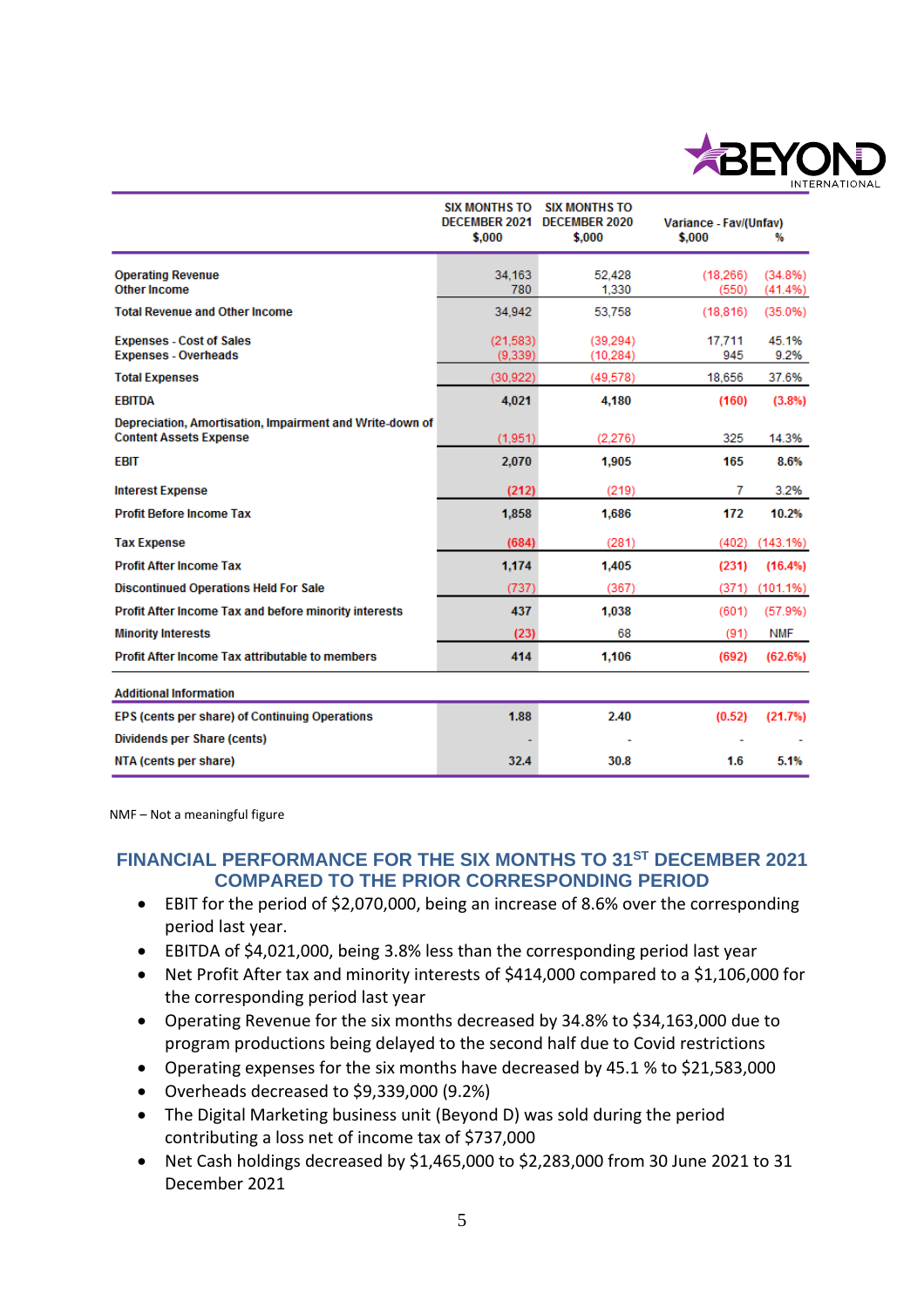

|                                                                                           | <b>SIX MONTHS TO</b><br><b>DECEMBER 2021</b><br>\$.000 | <b>SIX MONTHS TO</b><br><b>DECEMBER 2020</b><br>\$.000 | Variance - Fav/(Unfav)<br>\$.000 | ₩                  |
|-------------------------------------------------------------------------------------------|--------------------------------------------------------|--------------------------------------------------------|----------------------------------|--------------------|
|                                                                                           |                                                        |                                                        |                                  |                    |
| <b>Operating Revenue</b><br><b>Other Income</b>                                           | 34.163<br>780                                          | 52.428<br>1,330                                        | (18.266)<br>(550)                | (34.8%)<br>(41.4%) |
| <b>Total Revenue and Other Income</b>                                                     | 34,942                                                 | 53,758                                                 | (18, 816)                        | (35.0%)            |
| <b>Expenses - Cost of Sales</b><br><b>Expenses - Overheads</b>                            | (21,583)<br>(9.339)                                    | (39.294)<br>(10, 284)                                  | 17.711<br>945                    | 45.1%<br>9.2%      |
| <b>Total Expenses</b>                                                                     | (30, 922)                                              | (49, 578)                                              | 18,656                           | 37.6%              |
| <b>EBITDA</b>                                                                             | 4.021                                                  | 4,180                                                  | (160)                            | (3.8%)             |
| Depreciation, Amortisation, Impairment and Write-down of<br><b>Content Assets Expense</b> | (1,951)                                                | (2.276)                                                | 325                              | 14.3%              |
| <b>EBIT</b>                                                                               | 2,070                                                  | 1,905                                                  | 165                              | 8.6%               |
| <b>Interest Expense</b>                                                                   | (212)                                                  | (219)                                                  | 7                                | 3.2%               |
| <b>Profit Before Income Tax</b>                                                           | 1,858                                                  | 1,686                                                  | 172                              | 10.2%              |
| <b>Tax Expense</b>                                                                        | (684)                                                  | (281)                                                  | (402)                            | $(143.1\%)$        |
| <b>Profit After Income Tax</b>                                                            | 1.174                                                  | 1.405                                                  | (231)                            | $(16.4\%)$         |
| <b>Discontinued Operations Held For Sale</b>                                              | (737)                                                  | (367)                                                  | (371)                            | $(101.1\%)$        |
| Profit After Income Tax and before minority interests                                     | 437                                                    | 1,038                                                  | (601)                            | (57.9%)            |
| <b>Minority Interests</b>                                                                 | (23)                                                   | 68                                                     | (91)                             | <b>NMF</b>         |
| <b>Profit After Income Tax attributable to members</b>                                    | 414                                                    | 1,106                                                  | (692)                            | (62.6%)            |
| <b>Additional Information</b>                                                             |                                                        |                                                        |                                  |                    |
| EPS (cents per share) of Continuing Operations                                            | 1.88                                                   | 2.40                                                   | (0.52)                           | (21.7%)            |
| <b>Dividends per Share (cents)</b>                                                        |                                                        |                                                        |                                  |                    |
| NTA (cents per share)                                                                     | 32.4                                                   | 30.8                                                   | 1.6                              | 5.1%               |

NMF – Not a meaningful figure

#### **FINANCIAL PERFORMANCE FOR THE SIX MONTHS TO 31ST DECEMBER 2021 COMPARED TO THE PRIOR CORRESPONDING PERIOD**

- EBIT for the period of \$2,070,000, being an increase of 8.6% over the corresponding period last year.
- EBITDA of \$4,021,000, being 3.8% less than the corresponding period last year
- Net Profit After tax and minority interests of \$414,000 compared to a \$1,106,000 for the corresponding period last year
- Operating Revenue for the six months decreased by 34.8% to \$34,163,000 due to program productions being delayed to the second half due to Covid restrictions
- Operating expenses for the six months have decreased by 45.1 % to \$21,583,000
- Overheads decreased to \$9,339,000 (9.2%)
- The Digital Marketing business unit (Beyond D) was sold during the period contributing a loss net of income tax of \$737,000
- Net Cash holdings decreased by \$1,465,000 to \$2,283,000 from 30 June 2021 to 31 December 2021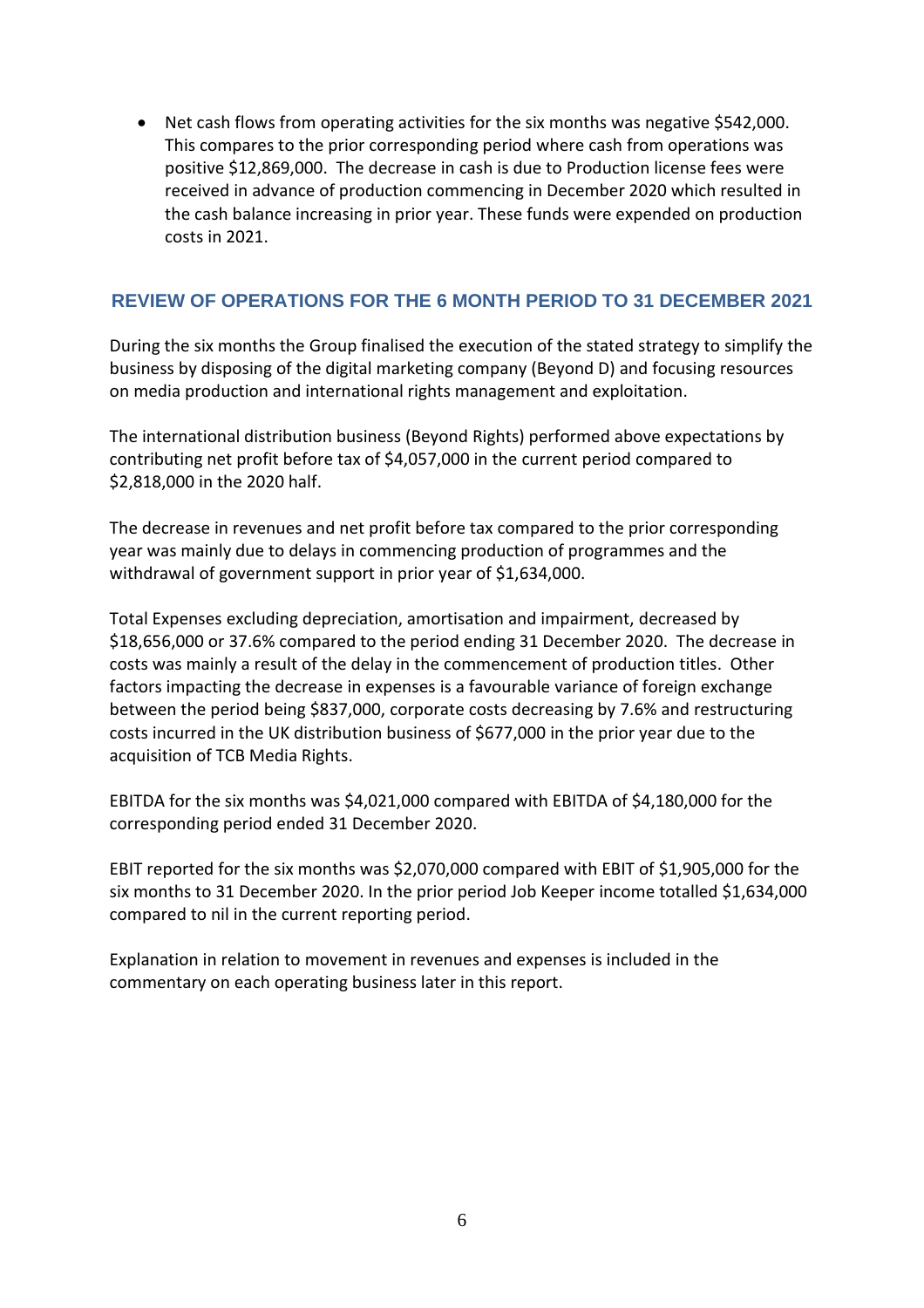• Net cash flows from operating activities for the six months was negative \$542,000. This compares to the prior corresponding period where cash from operations was positive \$12,869,000. The decrease in cash is due to Production license fees were received in advance of production commencing in December 2020 which resulted in the cash balance increasing in prior year. These funds were expended on production costs in 2021.

### **REVIEW OF OPERATIONS FOR THE 6 MONTH PERIOD TO 31 DECEMBER 2021**

During the six months the Group finalised the execution of the stated strategy to simplify the business by disposing of the digital marketing company (Beyond D) and focusing resources on media production and international rights management and exploitation.

The international distribution business (Beyond Rights) performed above expectations by contributing net profit before tax of \$4,057,000 in the current period compared to \$2,818,000 in the 2020 half.

The decrease in revenues and net profit before tax compared to the prior corresponding year was mainly due to delays in commencing production of programmes and the withdrawal of government support in prior year of \$1,634,000.

Total Expenses excluding depreciation, amortisation and impairment, decreased by \$18,656,000 or 37.6% compared to the period ending 31 December 2020. The decrease in costs was mainly a result of the delay in the commencement of production titles. Other factors impacting the decrease in expenses is a favourable variance of foreign exchange between the period being \$837,000, corporate costs decreasing by 7.6% and restructuring costs incurred in the UK distribution business of \$677,000 in the prior year due to the acquisition of TCB Media Rights.

EBITDA for the six months was \$4,021,000 compared with EBITDA of \$4,180,000 for the corresponding period ended 31 December 2020.

EBIT reported for the six months was \$2,070,000 compared with EBIT of \$1,905,000 for the six months to 31 December 2020. In the prior period Job Keeper income totalled \$1,634,000 compared to nil in the current reporting period.

Explanation in relation to movement in revenues and expenses is included in the commentary on each operating business later in this report.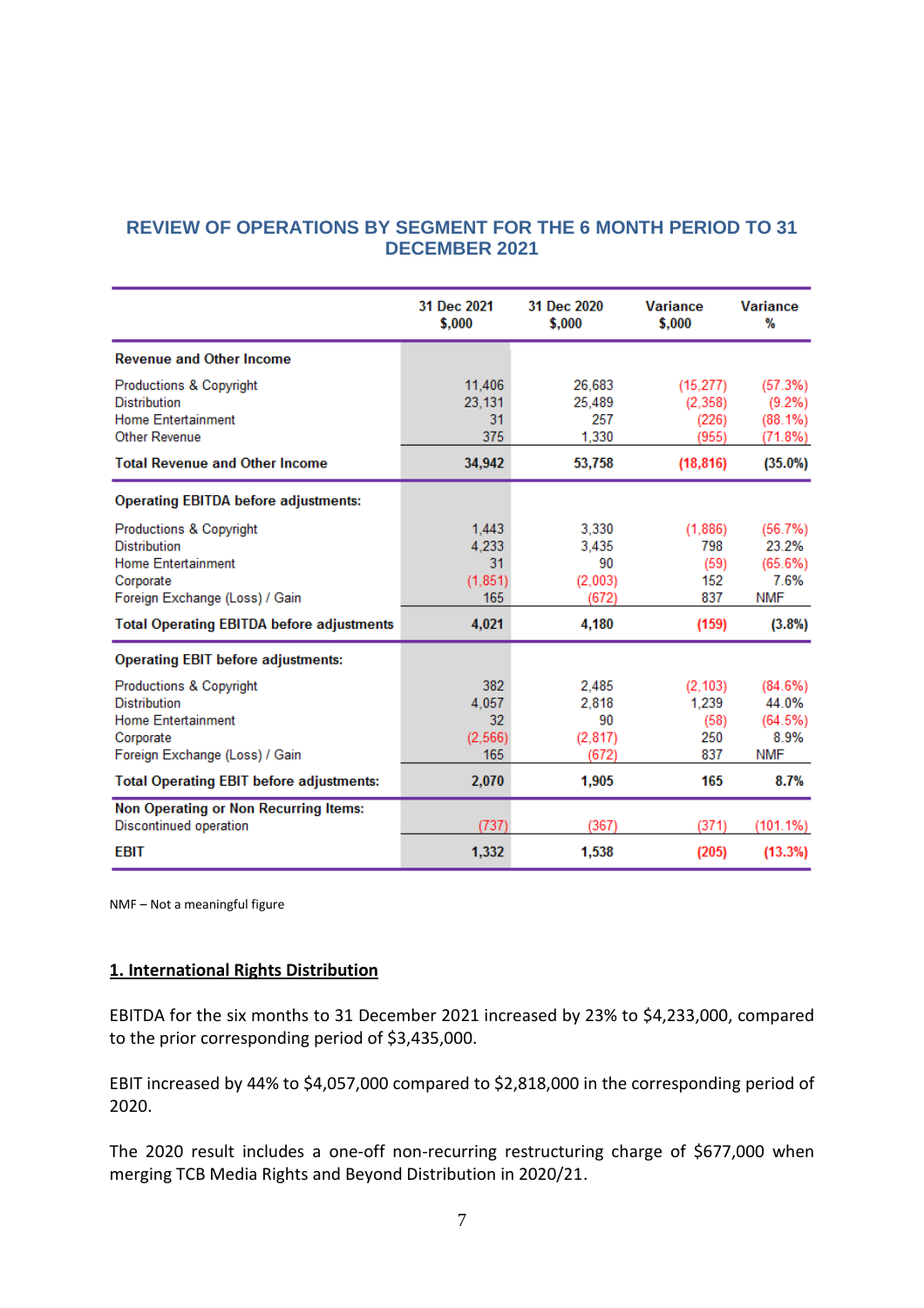### **REVIEW OF OPERATIONS BY SEGMENT FOR THE 6 MONTH PERIOD TO 31 DECEMBER 2021**

|                                                                                                                                       | 31 Dec 2021<br>\$,000                  | 31 Dec 2020<br>\$.000                    | <b>Variance</b><br>\$.000              | <b>Variance</b><br>%                              |
|---------------------------------------------------------------------------------------------------------------------------------------|----------------------------------------|------------------------------------------|----------------------------------------|---------------------------------------------------|
| <b>Revenue and Other Income</b>                                                                                                       |                                        |                                          |                                        |                                                   |
| <b>Productions &amp; Copyright</b><br><b>Distribution</b><br><b>Home Entertainment</b><br><b>Other Revenue</b>                        | 11,406<br>23,131<br>31<br>375          | 26,683<br>25.489<br>257<br>1,330         | (15, 277)<br>(2,358)<br>(226)<br>(955) | (57.3%)<br>$(9.2\%)$<br>$(88.1\%)$<br>(71.8%)     |
| <b>Total Revenue and Other Income</b>                                                                                                 | 34,942                                 | 53,758                                   | (18, 816)                              | $(35.0\%)$                                        |
| <b>Operating EBITDA before adjustments:</b>                                                                                           |                                        |                                          |                                        |                                                   |
| <b>Productions &amp; Copyright</b><br><b>Distribution</b><br><b>Home Entertainment</b><br>Corporate<br>Foreign Exchange (Loss) / Gain | 1,443<br>4,233<br>31<br>(1.851)<br>165 | 3,330<br>3.435<br>90<br>(2,003)<br>(672) | (1,886)<br>798<br>(59)<br>152<br>837   | (56.7%)<br>23.2%<br>(65.6%)<br>7.6%<br><b>NMF</b> |
| <b>Total Operating EBITDA before adjustments</b>                                                                                      | 4,021                                  | 4,180                                    | (159)                                  | (3.8%)                                            |
| <b>Operating EBIT before adjustments:</b>                                                                                             |                                        |                                          |                                        |                                                   |
| <b>Productions &amp; Copyright</b><br><b>Distribution</b><br><b>Home Entertainment</b><br>Corporate<br>Foreign Exchange (Loss) / Gain | 382<br>4.057<br>32<br>(2, 566)<br>165  | 2.485<br>2.818<br>90<br>(2.817)<br>(672) | (2.103)<br>1,239<br>(58)<br>250<br>837 | (84.6%)<br>44.0%<br>(64.5%)<br>8.9%<br><b>NMF</b> |
| <b>Total Operating EBIT before adjustments:</b>                                                                                       | 2,070                                  | 1,905                                    | 165                                    | 8.7%                                              |
| <b>Non Operating or Non Recurring Items:</b><br>Discontinued operation                                                                | (737)                                  | (367)                                    | (371)                                  | $(101.1\%)$                                       |
| <b>EBIT</b>                                                                                                                           | 1,332                                  | 1,538                                    | (205)                                  | (13.3%)                                           |

NMF – Not a meaningful figure

#### **1. International Rights Distribution**

EBITDA for the six months to 31 December 2021 increased by 23% to \$4,233,000, compared to the prior corresponding period of \$3,435,000.

EBIT increased by 44% to \$4,057,000 compared to \$2,818,000 in the corresponding period of 2020.

The 2020 result includes a one-off non-recurring restructuring charge of \$677,000 when merging TCB Media Rights and Beyond Distribution in 2020/21.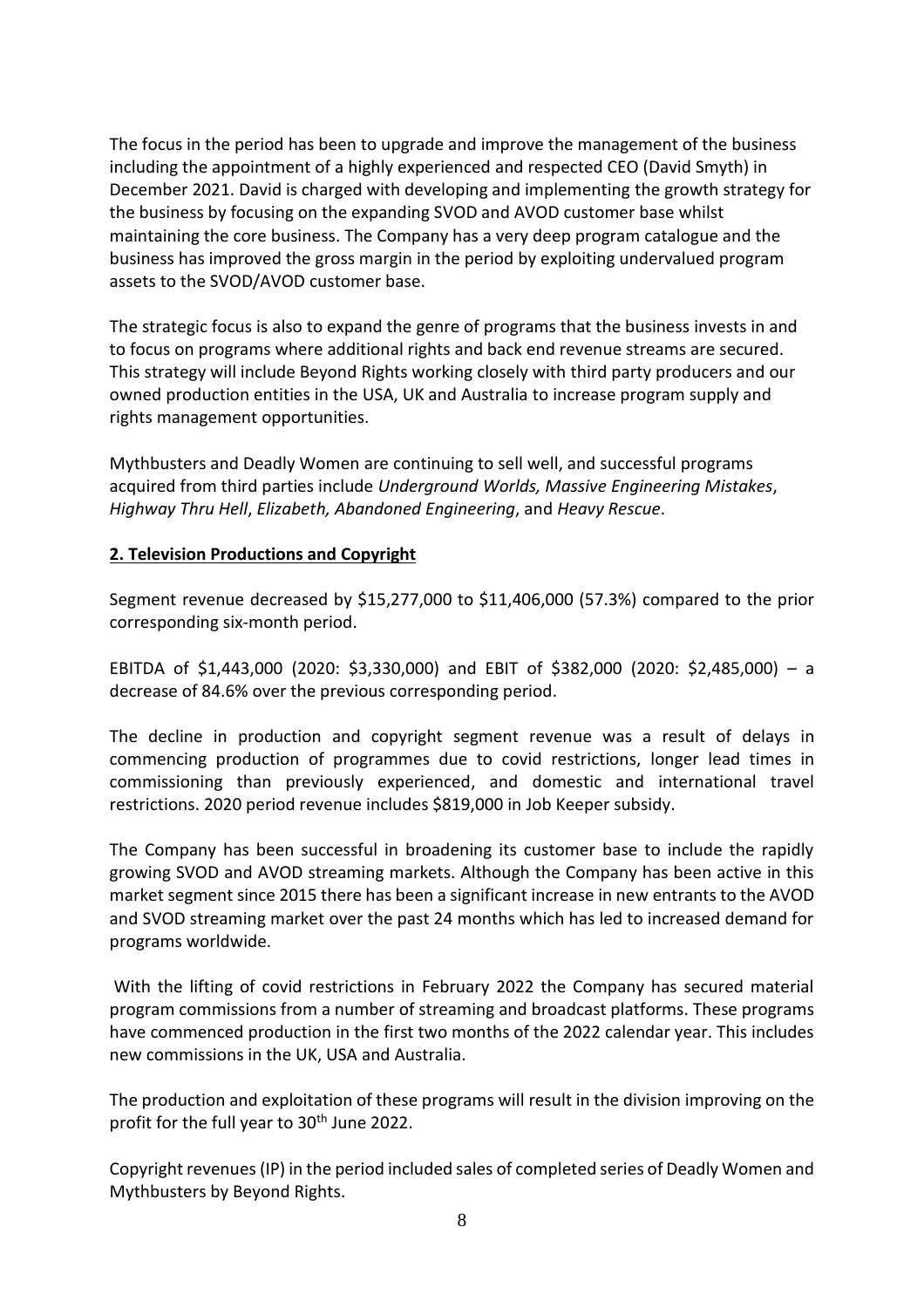The focus in the period has been to upgrade and improve the management of the business including the appointment of a highly experienced and respected CEO (David Smyth) in December 2021. David is charged with developing and implementing the growth strategy for the business by focusing on the expanding SVOD and AVOD customer base whilst maintaining the core business. The Company has a very deep program catalogue and the business has improved the gross margin in the period by exploiting undervalued program assets to the SVOD/AVOD customer base.

The strategic focus is also to expand the genre of programs that the business invests in and to focus on programs where additional rights and back end revenue streams are secured. This strategy will include Beyond Rights working closely with third party producers and our owned production entities in the USA, UK and Australia to increase program supply and rights management opportunities.

Mythbusters and Deadly Women are continuing to sell well, and successful programs acquired from third parties include *Underground Worlds, Massive Engineering Mistakes*, *Highway Thru Hell*, *Elizabeth, Abandoned Engineering*, and *Heavy Rescue*.

#### **2. Television Productions and Copyright**

Segment revenue decreased by \$15,277,000 to \$11,406,000 (57.3%) compared to the prior corresponding six-month period.

EBITDA of \$1,443,000 (2020: \$3,330,000) and EBIT of \$382,000 (2020: \$2,485,000) – a decrease of 84.6% over the previous corresponding period.

The decline in production and copyright segment revenue was a result of delays in commencing production of programmes due to covid restrictions, longer lead times in commissioning than previously experienced, and domestic and international travel restrictions. 2020 period revenue includes \$819,000 in Job Keeper subsidy.

The Company has been successful in broadening its customer base to include the rapidly growing SVOD and AVOD streaming markets. Although the Company has been active in this market segment since 2015 there has been a significant increase in new entrants to the AVOD and SVOD streaming market over the past 24 months which has led to increased demand for programs worldwide.

With the lifting of covid restrictions in February 2022 the Company has secured material program commissions from a number of streaming and broadcast platforms. These programs have commenced production in the first two months of the 2022 calendar year. This includes new commissions in the UK, USA and Australia.

The production and exploitation of these programs will result in the division improving on the profit for the full year to 30<sup>th</sup> June 2022.

Copyright revenues(IP) in the period included sales of completed series of Deadly Women and Mythbusters by Beyond Rights.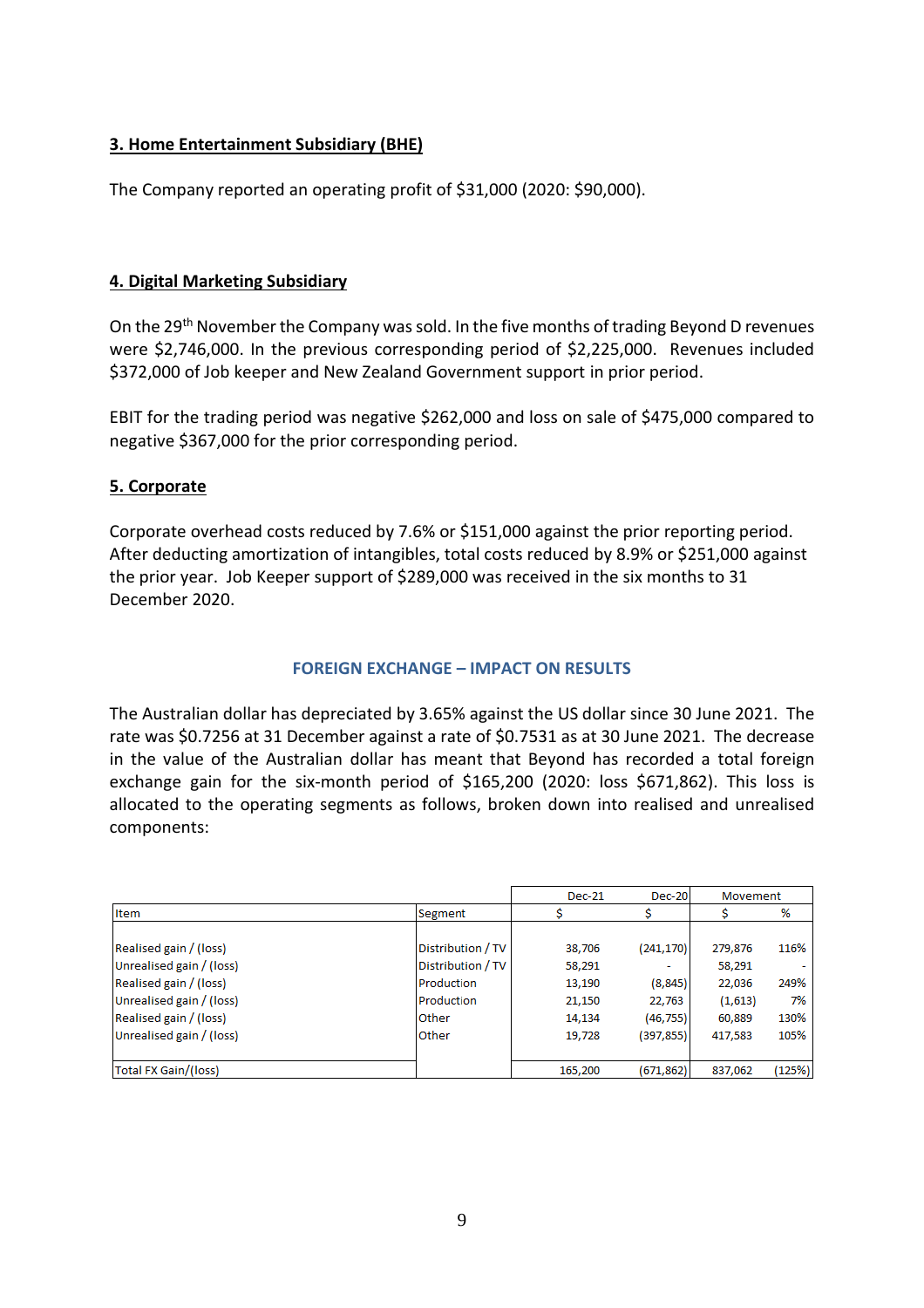#### **3. Home Entertainment Subsidiary (BHE)**

The Company reported an operating profit of \$31,000 (2020: \$90,000).

#### **4. Digital Marketing Subsidiary**

On the 29th November the Company was sold. In the five months of trading Beyond D revenues were \$2,746,000. In the previous corresponding period of \$2,225,000. Revenues included \$372,000 of Job keeper and New Zealand Government support in prior period.

EBIT for the trading period was negative \$262,000 and loss on sale of \$475,000 compared to negative \$367,000 for the prior corresponding period.

#### **5. Corporate**

Corporate overhead costs reduced by 7.6% or \$151,000 against the prior reporting period. After deducting amortization of intangibles, total costs reduced by 8.9% or \$251,000 against the prior year. Job Keeper support of \$289,000 was received in the six months to 31 December 2020.

#### **FOREIGN EXCHANGE – IMPACT ON RESULTS**

The Australian dollar has depreciated by 3.65% against the US dollar since 30 June 2021. The rate was \$0.7256 at 31 December against a rate of \$0.7531 as at 30 June 2021. The decrease in the value of the Australian dollar has meant that Beyond has recorded a total foreign exchange gain for the six-month period of \$165,200 (2020: loss \$671,862). This loss is allocated to the operating segments as follows, broken down into realised and unrealised components:

|                          |                   | <b>Dec-21</b> | Dec-20     | Movement |        |
|--------------------------|-------------------|---------------|------------|----------|--------|
| Item                     | Segment           |               |            |          | %      |
|                          |                   |               |            |          |        |
| Realised gain / (loss)   | Distribution / TV | 38,706        | (241, 170) | 279,876  | 116%   |
| Unrealised gain / (loss) | Distribution / TV | 58,291        |            | 58,291   |        |
| Realised gain / (loss)   | Production        | 13,190        | (8, 845)   | 22,036   | 249%   |
| Unrealised gain / (loss) | Production        | 21,150        | 22,763     | (1,613)  | 7%     |
| Realised gain / (loss)   | Other             | 14,134        | (46, 755)  | 60,889   | 130%   |
| Unrealised gain / (loss) | <b>Other</b>      | 19,728        | (397, 855) | 417,583  | 105%   |
|                          |                   |               |            |          |        |
| Total FX Gain/(loss)     |                   | 165,200       | (671, 862) | 837,062  | (125%) |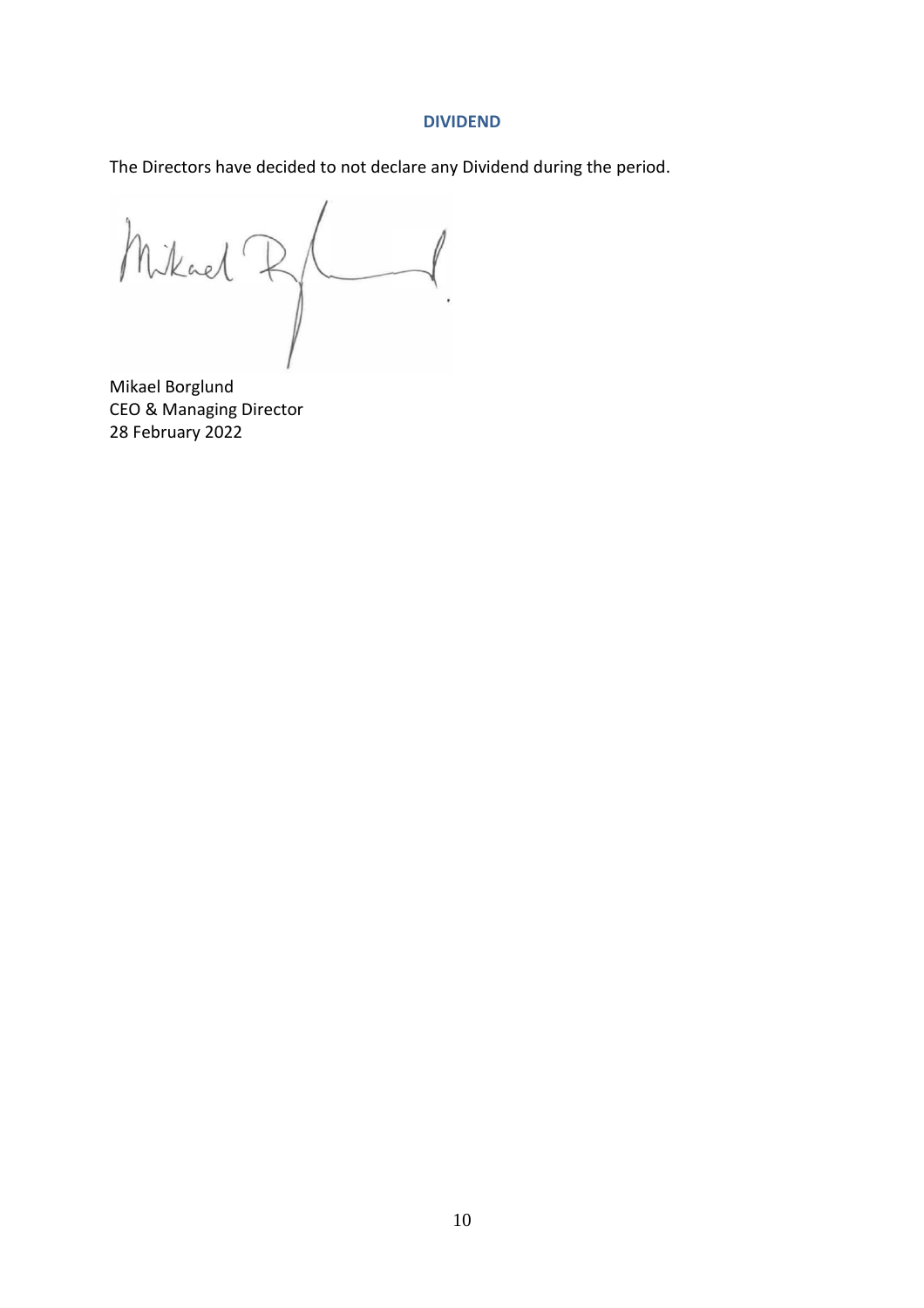#### **DIVIDEND**

The Directors have decided to not declare any Dividend during the period.

Mikael Ry

Mikael Borglund CEO & Managing Director 28 February 2022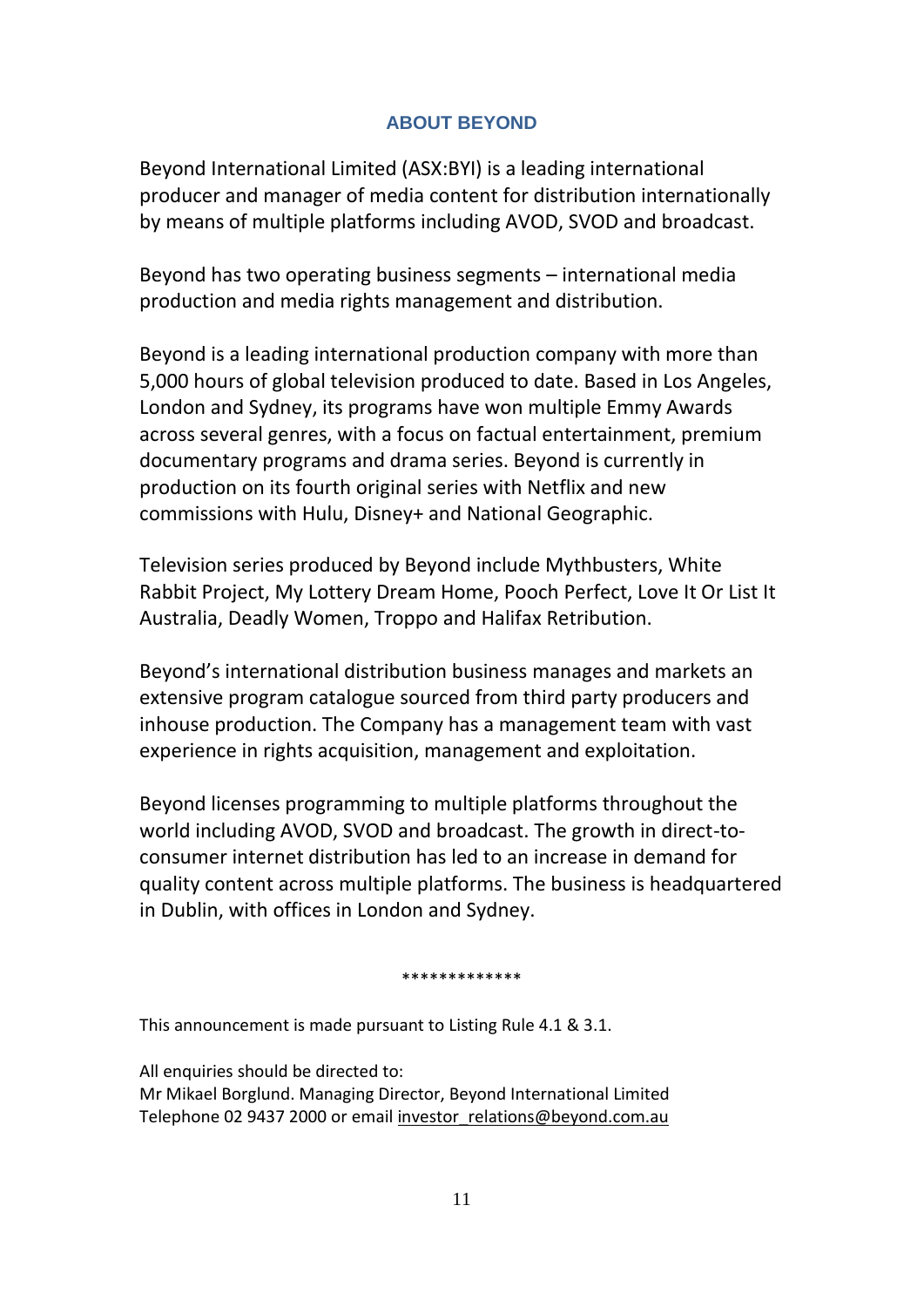## **ABOUT BEYOND**

Beyond International Limited (ASX:BYI) is a leading international producer and manager of media content for distribution internationally by means of multiple platforms including AVOD, SVOD and broadcast.

Beyond has two operating business segments – international media production and media rights management and distribution.

Beyond is a leading international production company with more than 5,000 hours of global television produced to date. Based in Los Angeles, London and Sydney, its programs have won multiple Emmy Awards across several genres, with a focus on factual entertainment, premium documentary programs and drama series. Beyond is currently in production on its fourth original series with Netflix and new commissions with Hulu, Disney+ and National Geographic.

Television series produced by Beyond include Mythbusters, White Rabbit Project, My Lottery Dream Home, Pooch Perfect, Love It Or List It Australia, Deadly Women, Troppo and Halifax Retribution.

Beyond's international distribution business manages and markets an extensive program catalogue sourced from third party producers and inhouse production. The Company has a management team with vast experience in rights acquisition, management and exploitation.

Beyond licenses programming to multiple platforms throughout the world including AVOD, SVOD and broadcast. The growth in direct-toconsumer internet distribution has led to an increase in demand for quality content across multiple platforms. The business is headquartered in Dublin, with offices in London and Sydney.

\*\*\*\*\*\*\*\*\*\*\*\*\*

This announcement is made pursuant to Listing Rule 4.1 & 3.1.

All enquiries should be directed to: Mr Mikael Borglund. Managing Director, Beyond International Limited Telephone 02 9437 2000 or email [investor\\_relations@beyond.com.au](mailto:investor_relations@beyond.com.au)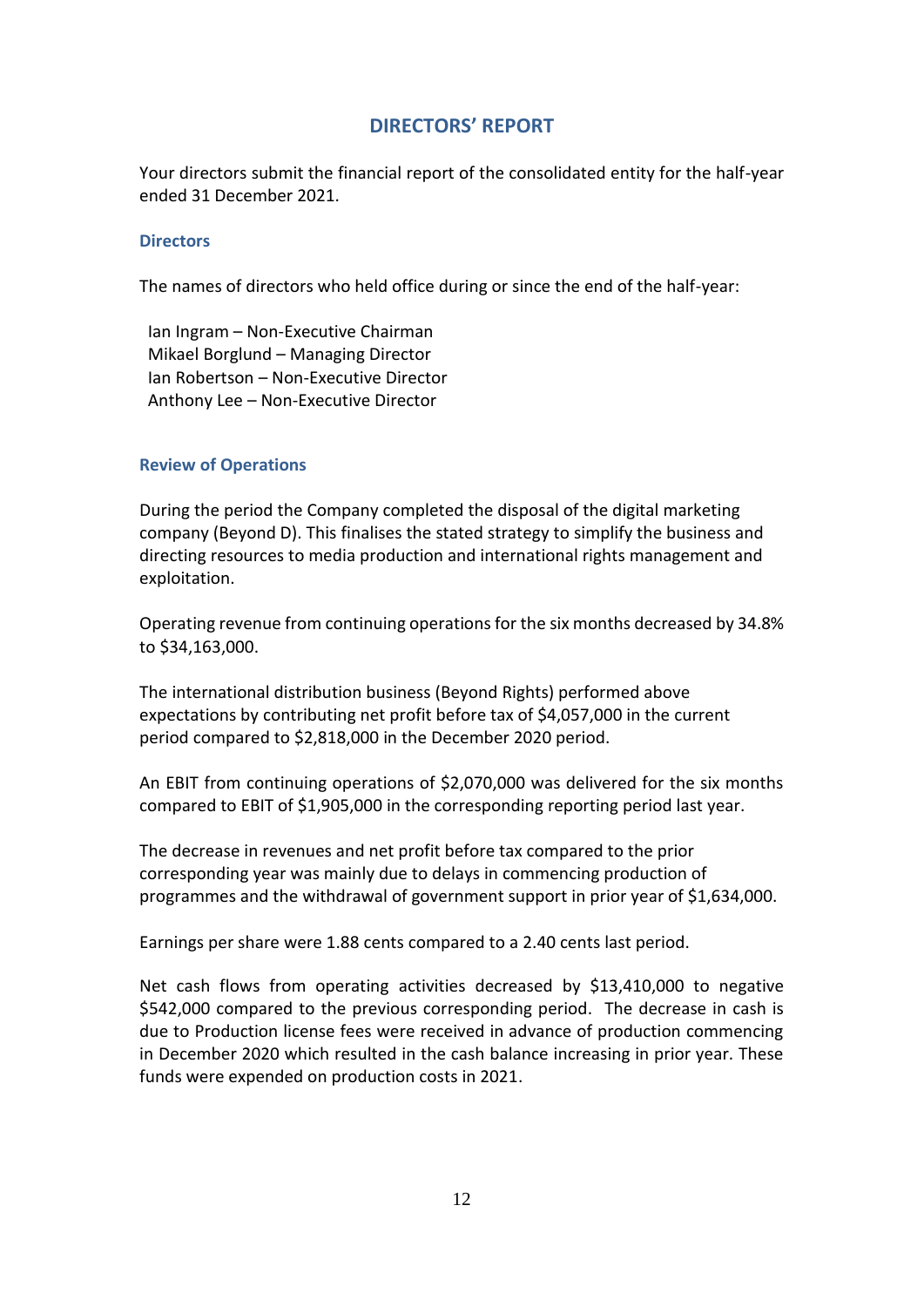### **DIRECTORS' REPORT**

Your directors submit the financial report of the consolidated entity for the half-year ended 31 December 2021.

#### **Directors**

The names of directors who held office during or since the end of the half-year:

Ian Ingram – Non-Executive Chairman Mikael Borglund – Managing Director Ian Robertson – Non-Executive Director Anthony Lee – Non-Executive Director

#### **Review of Operations**

During the period the Company completed the disposal of the digital marketing company (Beyond D). This finalises the stated strategy to simplify the business and directing resources to media production and international rights management and exploitation.

Operating revenue from continuing operations for the six months decreased by 34.8% to \$34,163,000.

The international distribution business (Beyond Rights) performed above expectations by contributing net profit before tax of \$4,057,000 in the current period compared to \$2,818,000 in the December 2020 period.

An EBIT from continuing operations of \$2,070,000 was delivered for the six months compared to EBIT of \$1,905,000 in the corresponding reporting period last year.

The decrease in revenues and net profit before tax compared to the prior corresponding year was mainly due to delays in commencing production of programmes and the withdrawal of government support in prior year of \$1,634,000.

Earnings per share were 1.88 cents compared to a 2.40 cents last period.

Net cash flows from operating activities decreased by \$13,410,000 to negative \$542,000 compared to the previous corresponding period. The decrease in cash is due to Production license fees were received in advance of production commencing in December 2020 which resulted in the cash balance increasing in prior year. These funds were expended on production costs in 2021.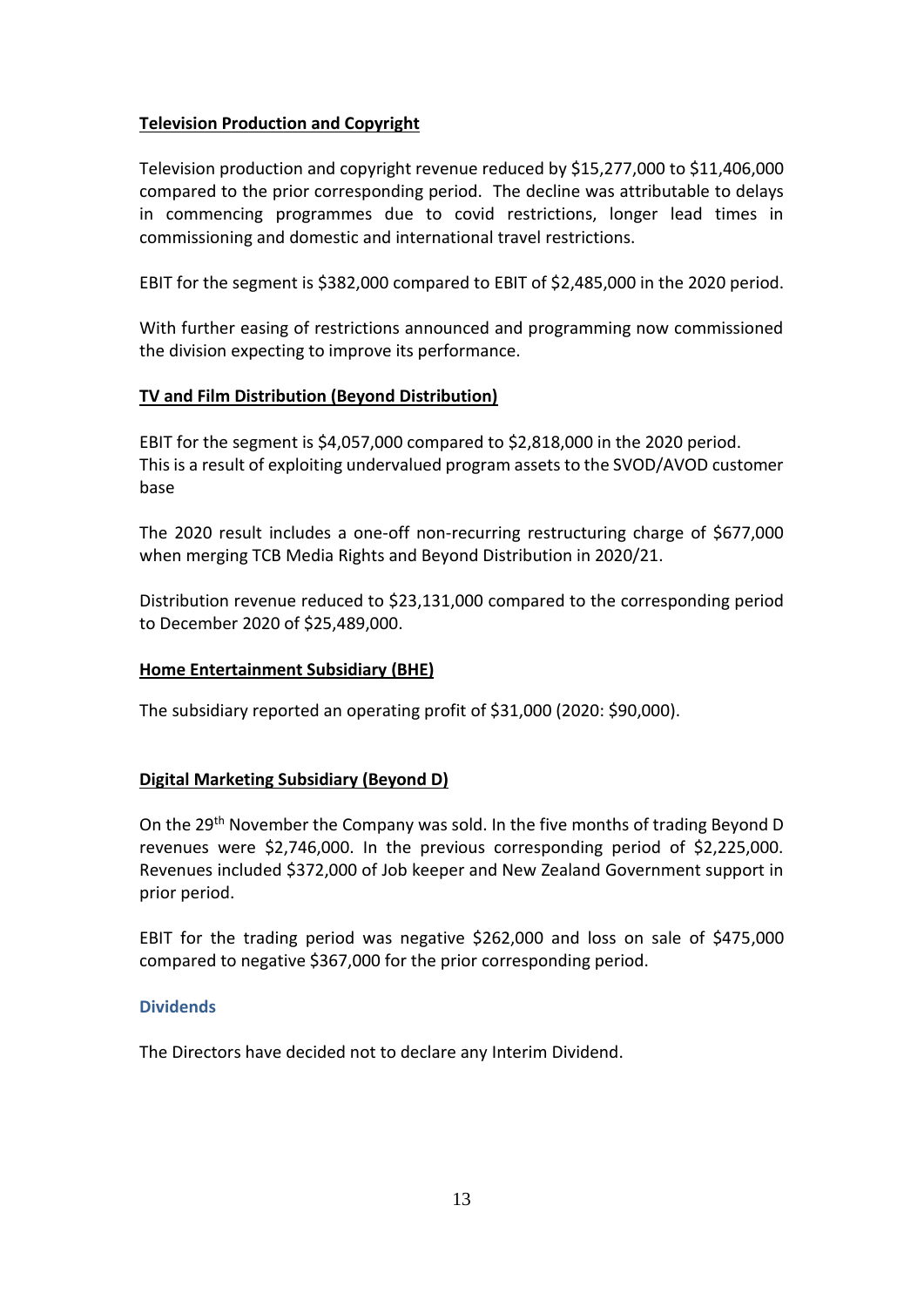#### **Television Production and Copyright**

Television production and copyright revenue reduced by \$15,277,000 to \$11,406,000 compared to the prior corresponding period. The decline was attributable to delays in commencing programmes due to covid restrictions, longer lead times in commissioning and domestic and international travel restrictions.

EBIT for the segment is \$382,000 compared to EBIT of \$2,485,000 in the 2020 period.

With further easing of restrictions announced and programming now commissioned the division expecting to improve its performance.

#### **TV and Film Distribution (Beyond Distribution)**

EBIT for the segment is \$4,057,000 compared to \$2,818,000 in the 2020 period. This is a result of exploiting undervalued program assets to the SVOD/AVOD customer base

The 2020 result includes a one-off non-recurring restructuring charge of \$677,000 when merging TCB Media Rights and Beyond Distribution in 2020/21.

Distribution revenue reduced to \$23,131,000 compared to the corresponding period to December 2020 of \$25,489,000.

#### **Home Entertainment Subsidiary (BHE)**

The subsidiary reported an operating profit of \$31,000 (2020: \$90,000).

#### **Digital Marketing Subsidiary (Beyond D)**

On the 29th November the Company was sold. In the five months of trading Beyond D revenues were \$2,746,000. In the previous corresponding period of \$2,225,000. Revenues included \$372,000 of Job keeper and New Zealand Government support in prior period.

EBIT for the trading period was negative \$262,000 and loss on sale of \$475,000 compared to negative \$367,000 for the prior corresponding period.

#### **Dividends**

The Directors have decided not to declare any Interim Dividend.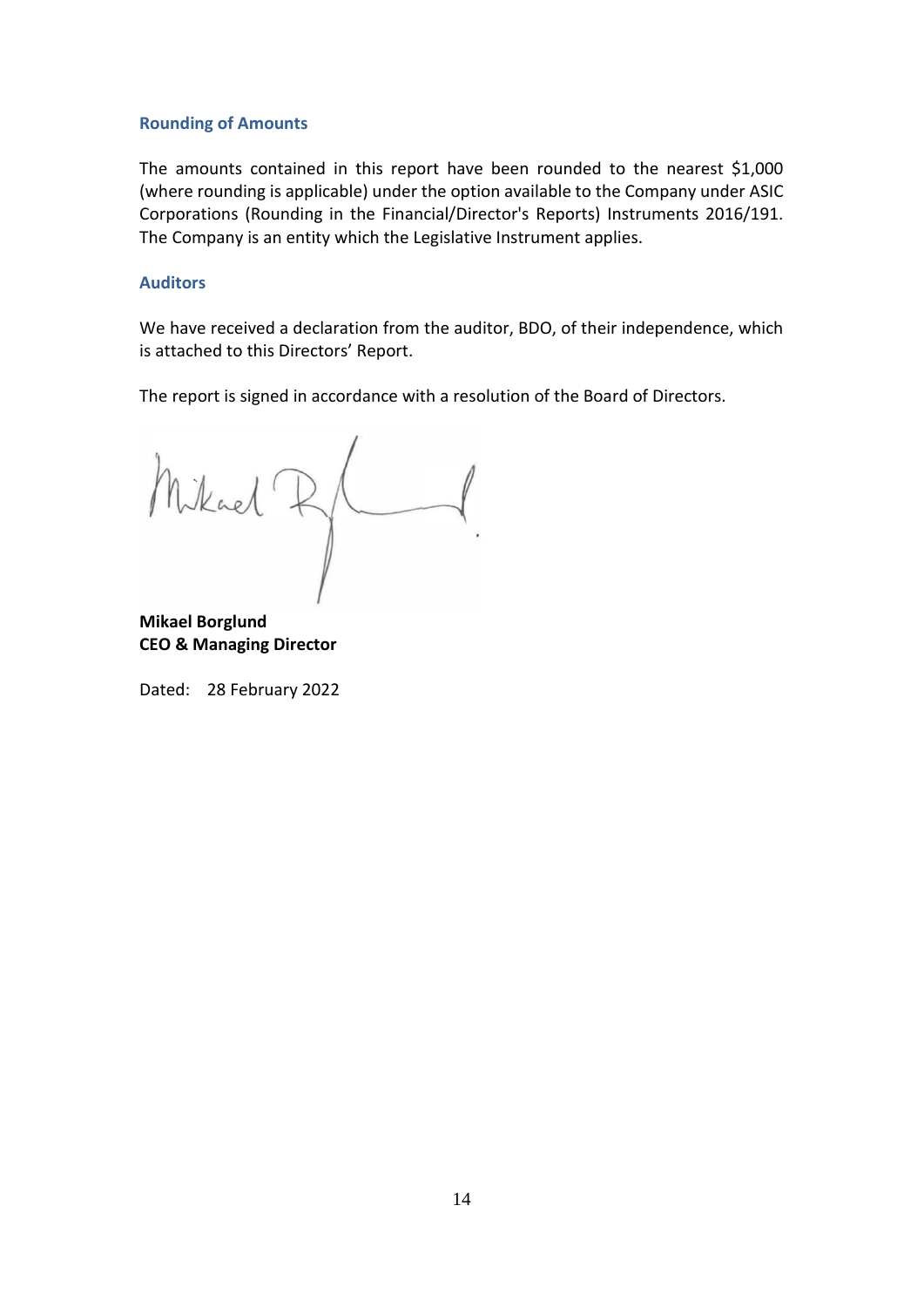#### **Rounding of Amounts**

The amounts contained in this report have been rounded to the nearest \$1,000 (where rounding is applicable) under the option available to the Company under ASIC Corporations (Rounding in the Financial/Director's Reports) Instruments 2016/191. The Company is an entity which the Legislative Instrument applies.

#### **Auditors**

We have received a declaration from the auditor, BDO, of their independence, which is attached to this Directors' Report.

The report is signed in accordance with a resolution of the Board of Directors.

Mikael R/

**Mikael Borglund CEO & Managing Director**

Dated: 28 February 2022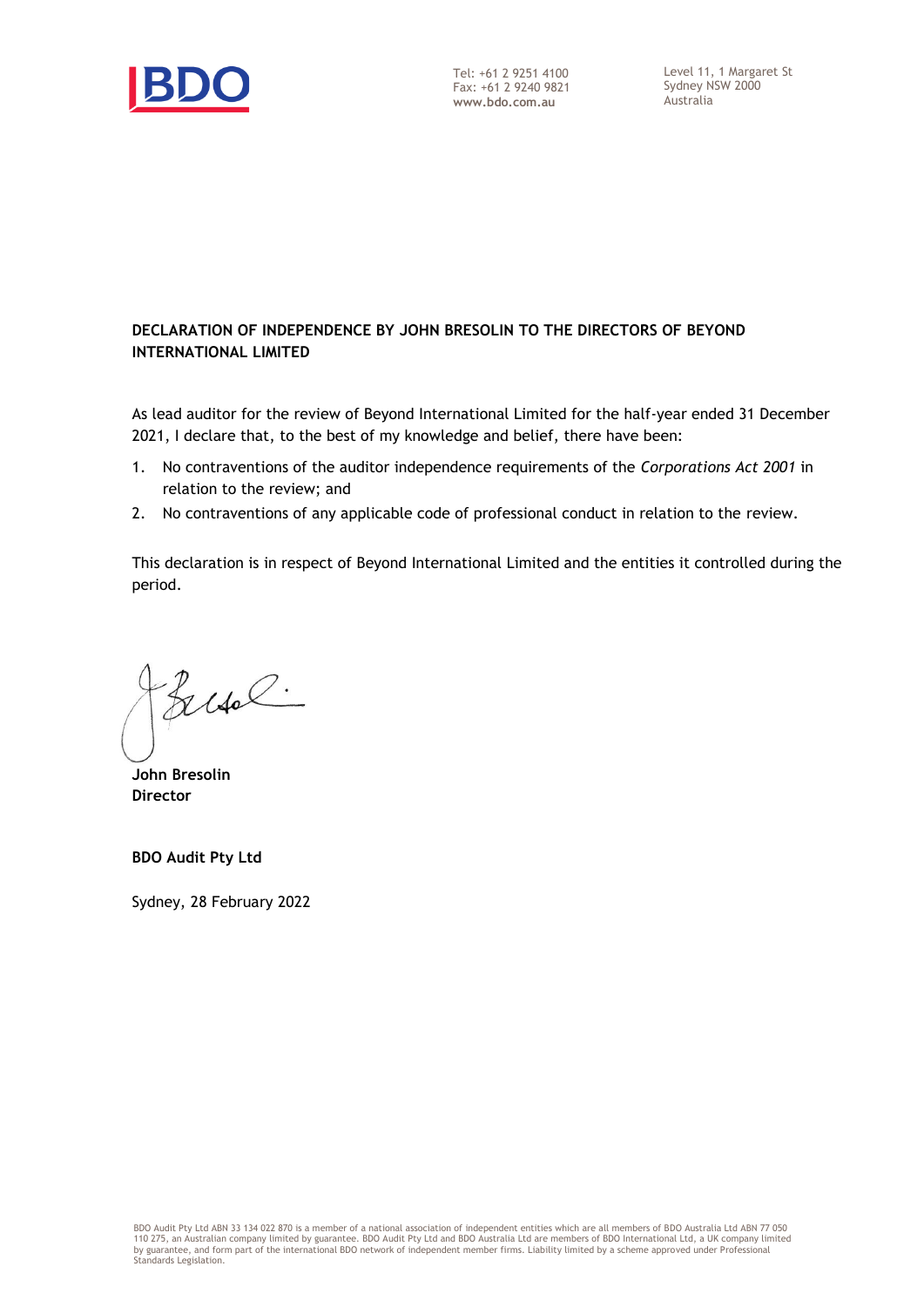

#### **DECLARATION OF INDEPENDENCE BY JOHN BRESOLIN TO THE DIRECTORS OF BEYOND INTERNATIONAL LIMITED**

As lead auditor for the review of Beyond International Limited for the half-year ended 31 December 2021, I declare that, to the best of my knowledge and belief, there have been:

- 1. No contraventions of the auditor independence requirements of the *Corporations Act 2001* in relation to the review; and
- 2. No contraventions of any applicable code of professional conduct in relation to the review.

This declaration is in respect of Beyond International Limited and the entities it controlled during the period.

Busch.

**John Bresolin Director** 

**BDO Audit Pty Ltd**

Sydney, 28 February 2022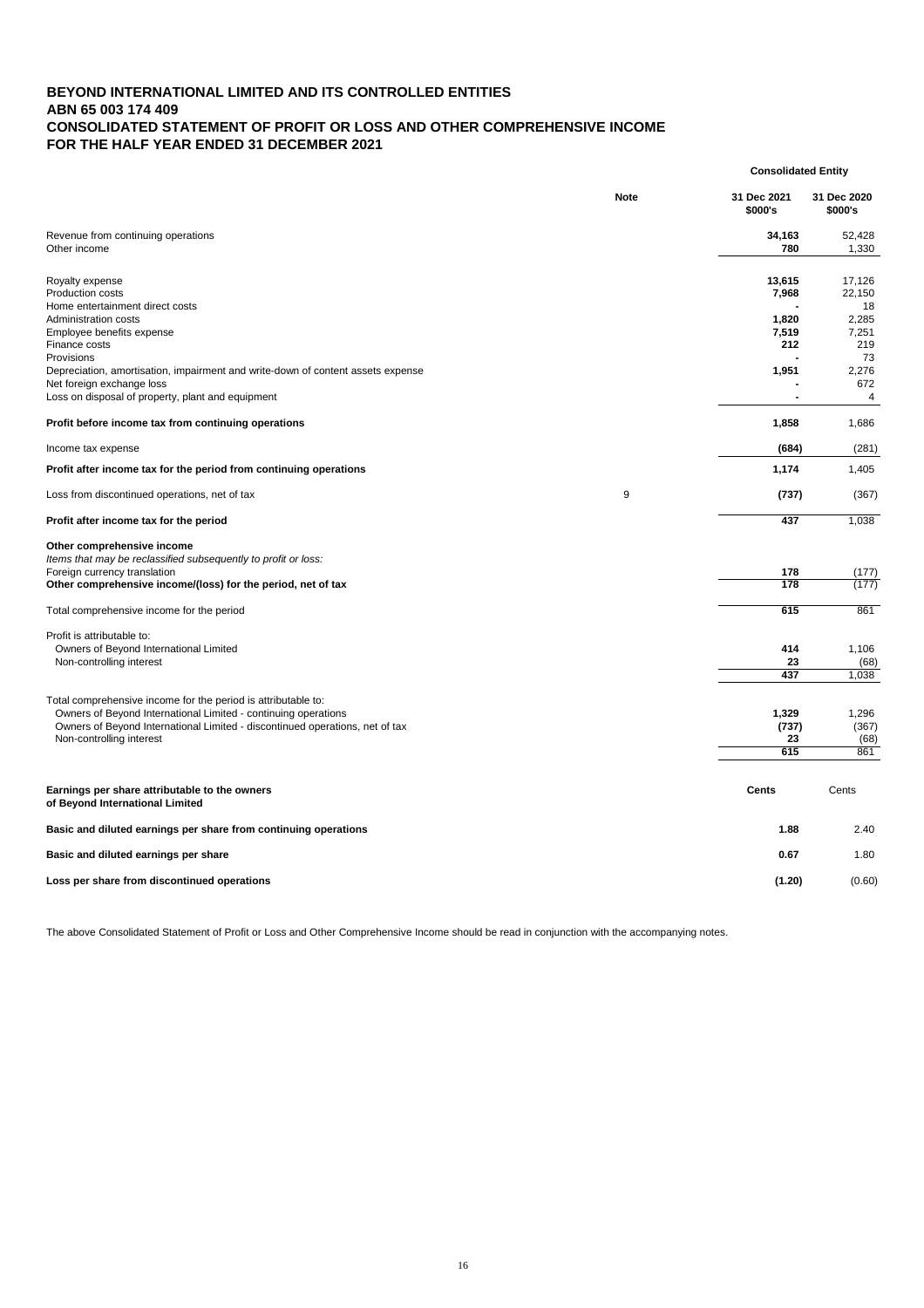# **BEYOND INTERNATIONAL LIMITED AND ITS CONTROLLED ENTITIES ABN 65 003 174 409 CONSOLIDATED STATEMENT OF PROFIT OR LOSS AND OTHER COMPREHENSIVE INCOME FOR THE HALF YEAR ENDED 31 DECEMBER 2021**

|                                                                                                                                                                                                                                                                                                                                               |             | <b>Consolidated Entity</b>                        |                                                                            |
|-----------------------------------------------------------------------------------------------------------------------------------------------------------------------------------------------------------------------------------------------------------------------------------------------------------------------------------------------|-------------|---------------------------------------------------|----------------------------------------------------------------------------|
|                                                                                                                                                                                                                                                                                                                                               | <b>Note</b> | 31 Dec 2021<br>\$000's                            | 31 Dec 2020<br>\$000's                                                     |
| Revenue from continuing operations<br>Other income                                                                                                                                                                                                                                                                                            |             | 34,163<br>780                                     | 52,428<br>1,330                                                            |
| Royalty expense<br><b>Production costs</b><br>Home entertainment direct costs<br><b>Administration costs</b><br>Employee benefits expense<br>Finance costs<br>Provisions<br>Depreciation, amortisation, impairment and write-down of content assets expense<br>Net foreign exchange loss<br>Loss on disposal of property, plant and equipment |             | 13,615<br>7,968<br>1,820<br>7,519<br>212<br>1,951 | 17,126<br>22,150<br>18<br>2,285<br>7,251<br>219<br>73<br>2,276<br>672<br>4 |
| Profit before income tax from continuing operations                                                                                                                                                                                                                                                                                           |             | 1,858                                             | 1,686                                                                      |
| Income tax expense                                                                                                                                                                                                                                                                                                                            |             | (684)                                             | (281)                                                                      |
| Profit after income tax for the period from continuing operations                                                                                                                                                                                                                                                                             |             | 1,174                                             | 1,405                                                                      |
| Loss from discontinued operations, net of tax                                                                                                                                                                                                                                                                                                 | 9           | (737)                                             | (367)                                                                      |
| Profit after income tax for the period                                                                                                                                                                                                                                                                                                        |             | 437                                               | 1,038                                                                      |
| Other comprehensive income<br>Items that may be reclassified subsequently to profit or loss:<br>Foreign currency translation<br>Other comprehensive income/(loss) for the period, net of tax                                                                                                                                                  |             | 178<br>178                                        | (177)<br>(177)                                                             |
| Total comprehensive income for the period                                                                                                                                                                                                                                                                                                     |             | 615                                               | 861                                                                        |
| Profit is attributable to:<br>Owners of Beyond International Limited<br>Non-controlling interest                                                                                                                                                                                                                                              |             | 414<br>23<br>437                                  | 1,106<br>(68)<br>1,038                                                     |
| Total comprehensive income for the period is attributable to:<br>Owners of Beyond International Limited - continuing operations<br>Owners of Beyond International Limited - discontinued operations, net of tax<br>Non-controlling interest                                                                                                   |             | 1,329<br>(737)<br>23<br>615                       | 1,296<br>(367)<br>(68)<br>861                                              |

| Earnings per share attributable to the owners<br>of Beyond International Limited | <b>Cents</b> | Cents  |
|----------------------------------------------------------------------------------|--------------|--------|
| Basic and diluted earnings per share from continuing operations                  | 1.88         | 2.40   |
| Basic and diluted earnings per share                                             | 0.67         | 1.80   |
| Loss per share from discontinued operations                                      | (1.20)       | (0.60) |

The above Consolidated Statement of Profit or Loss and Other Comprehensive Income should be read in conjunction with the accompanying notes.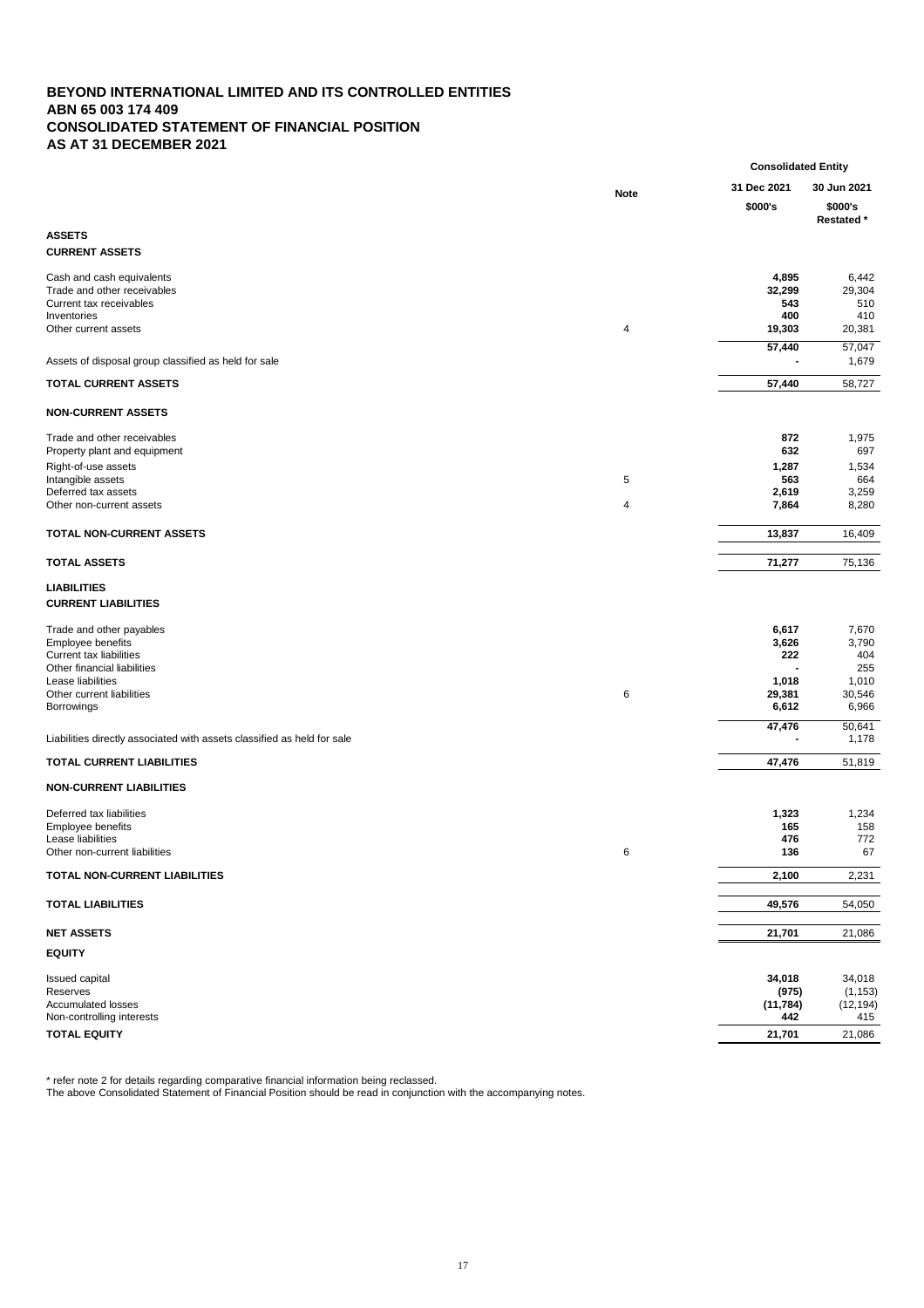# **BEYOND INTERNATIONAL LIMITED AND ITS CONTROLLED ENTITIES ABN 65 003 174 409 CONSOLIDATED STATEMENT OF FINANCIAL POSITION AS AT 31 DECEMBER 2021**

|                                                                                                                                                                                       |             | <b>Consolidated Entity</b>                        |                                                          |
|---------------------------------------------------------------------------------------------------------------------------------------------------------------------------------------|-------------|---------------------------------------------------|----------------------------------------------------------|
|                                                                                                                                                                                       | <b>Note</b> | 31 Dec 2021<br>\$000's                            | 30 Jun 2021<br>\$000's<br><b>Restated</b> *              |
| <b>ASSETS</b>                                                                                                                                                                         |             |                                                   |                                                          |
| <b>CURRENT ASSETS</b>                                                                                                                                                                 |             |                                                   |                                                          |
| Cash and cash equivalents<br>Trade and other receivables<br>Current tax receivables<br>Inventories<br>Other current assets                                                            | 4           | 4,895<br>32,299<br>543<br>400<br>19,303           | 6,442<br>29,304<br>510<br>410<br>20,381                  |
| Assets of disposal group classified as held for sale                                                                                                                                  |             | 57,440                                            | 57,047<br>1,679                                          |
| <b>TOTAL CURRENT ASSETS</b>                                                                                                                                                           |             | 57,440                                            | 58,727                                                   |
| <b>NON-CURRENT ASSETS</b>                                                                                                                                                             |             |                                                   |                                                          |
| Trade and other receivables<br>Property plant and equipment<br>Right-of-use assets<br>Intangible assets<br>Deferred tax assets<br>Other non-current assets                            | 5<br>4      | 872<br>632<br>1,287<br>563<br>2,619<br>7,864      | 1,975<br>697<br>1,534<br>664<br>3,259<br>8,280           |
| <b>TOTAL NON-CURRENT ASSETS</b>                                                                                                                                                       |             | 13,837                                            | 16,409                                                   |
| <b>TOTAL ASSETS</b>                                                                                                                                                                   |             | 71,277                                            | 75,136                                                   |
| <b>LIABILITIES</b><br><b>CURRENT LIABILITIES</b>                                                                                                                                      |             |                                                   |                                                          |
| Trade and other payables<br>Employee benefits<br><b>Current tax liabilities</b><br>Other financial liabilities<br>Lease liabilities<br>Other current liabilities<br><b>Borrowings</b> | 6           | 6,617<br>3,626<br>222<br>1,018<br>29,381<br>6,612 | 7,670<br>3,790<br>404<br>255<br>1,010<br>30,546<br>6,966 |
| Liabilities directly associated with assets classified as held for sale                                                                                                               |             | 47,476                                            | 50,641<br>1,178                                          |
| <b>TOTAL CURRENT LIABILITIES</b>                                                                                                                                                      |             | 47,476                                            | 51,819                                                   |
|                                                                                                                                                                                       |             |                                                   |                                                          |

## **NON-CURRENT LIABILITIES**

| Deferred tax liabilities<br>Employee benefits<br>Lease liabilities<br>Other non-current liabilities | 6 | 1,323<br>165<br>476<br>136          | 1,234<br>158<br>772<br>67              |
|-----------------------------------------------------------------------------------------------------|---|-------------------------------------|----------------------------------------|
| <b>TOTAL NON-CURRENT LIABILITIES</b>                                                                |   | 2,100                               | 2,231                                  |
| <b>TOTAL LIABILITIES</b>                                                                            |   | 49,576                              | 54,050                                 |
| <b>NET ASSETS</b>                                                                                   |   | 21,701                              | 21,086                                 |
| <b>EQUITY</b>                                                                                       |   |                                     |                                        |
| <b>Issued capital</b><br>Reserves<br><b>Accumulated losses</b><br>Non-controlling interests         |   | 34,018<br>(975)<br>(11, 784)<br>442 | 34,018<br>(1, 153)<br>(12, 194)<br>415 |
| <b>TOTAL EQUITY</b>                                                                                 |   | 21,701                              | 21,086                                 |

\* refer note 2 for details regarding comparative financial information being reclassed.

The above Consolidated Statement of Financial Position should be read in conjunction with the accompanying notes.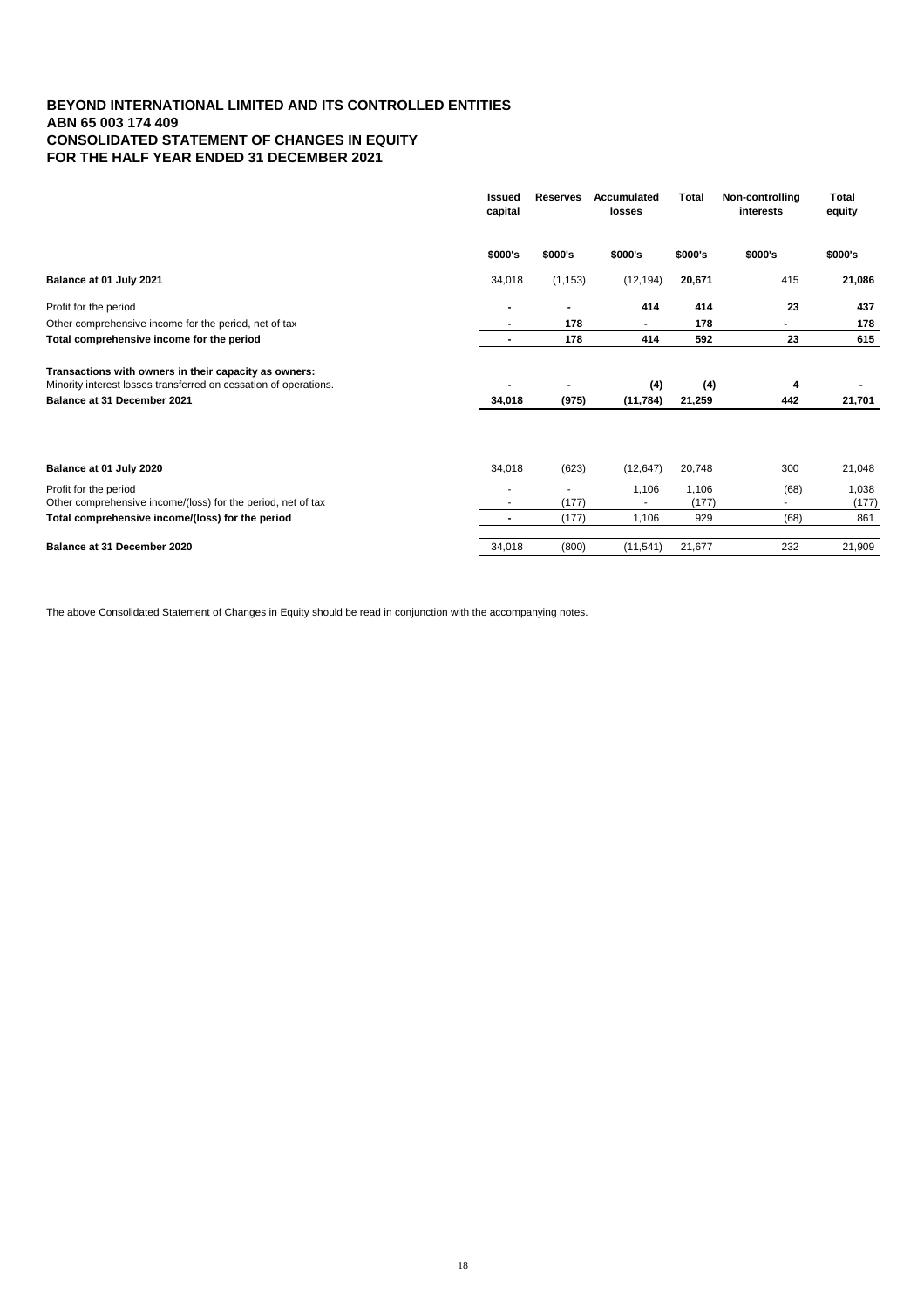# **BEYOND INTERNATIONAL LIMITED AND ITS CONTROLLED ENTITIES ABN 65 003 174 409 CONSOLIDATED STATEMENT OF CHANGES IN EQUITY FOR THE HALF YEAR ENDED 31 DECEMBER 2021**

| <b>Issued</b><br>capital | <b>Reserves</b> | <b>Accumulated</b><br><b>losses</b> | <b>Total</b>              | Non-controlling<br><b>interests</b> | <b>Total</b><br>equity |
|--------------------------|-----------------|-------------------------------------|---------------------------|-------------------------------------|------------------------|
| \$000's                  | \$000's         | \$000's                             | \$000's                   | \$000's                             | \$000's                |
| 34,018                   | (1, 153)        | (12, 194)                           | 20,671                    | 415                                 | 21,086                 |
|                          |                 | 414                                 | 414                       | 23                                  | 437                    |
|                          | 178             |                                     | 178                       |                                     | 178                    |
| $\blacksquare$           | 178             | 414                                 | 592                       | 23                                  | 615                    |
| $\blacksquare$           | $\blacksquare$  |                                     |                           | 4                                   |                        |
| 34,018                   |                 | (11, 784)                           | 21,259                    | 442                                 | 21,701                 |
|                          |                 |                                     |                           |                                     |                        |
|                          |                 |                                     |                           |                                     | 21,048                 |
|                          | (177)           | 1,106                               | 1,106<br>(177)            | (68)<br>$\overline{\phantom{0}}$    | 1,038<br>(177)         |
| $\blacksquare$           | (177)           | 1,106                               | 929                       | (68)                                | 861                    |
| 34,018                   | (800)           | (11, 541)                           | 21,677                    | 232                                 | 21,909                 |
|                          | 34,018          | (623)                               | (4)<br>(975)<br>(12, 647) | 20,748                              | (4)<br>300             |

The above Consolidated Statement of Changes in Equity should be read in conjunction with the accompanying notes.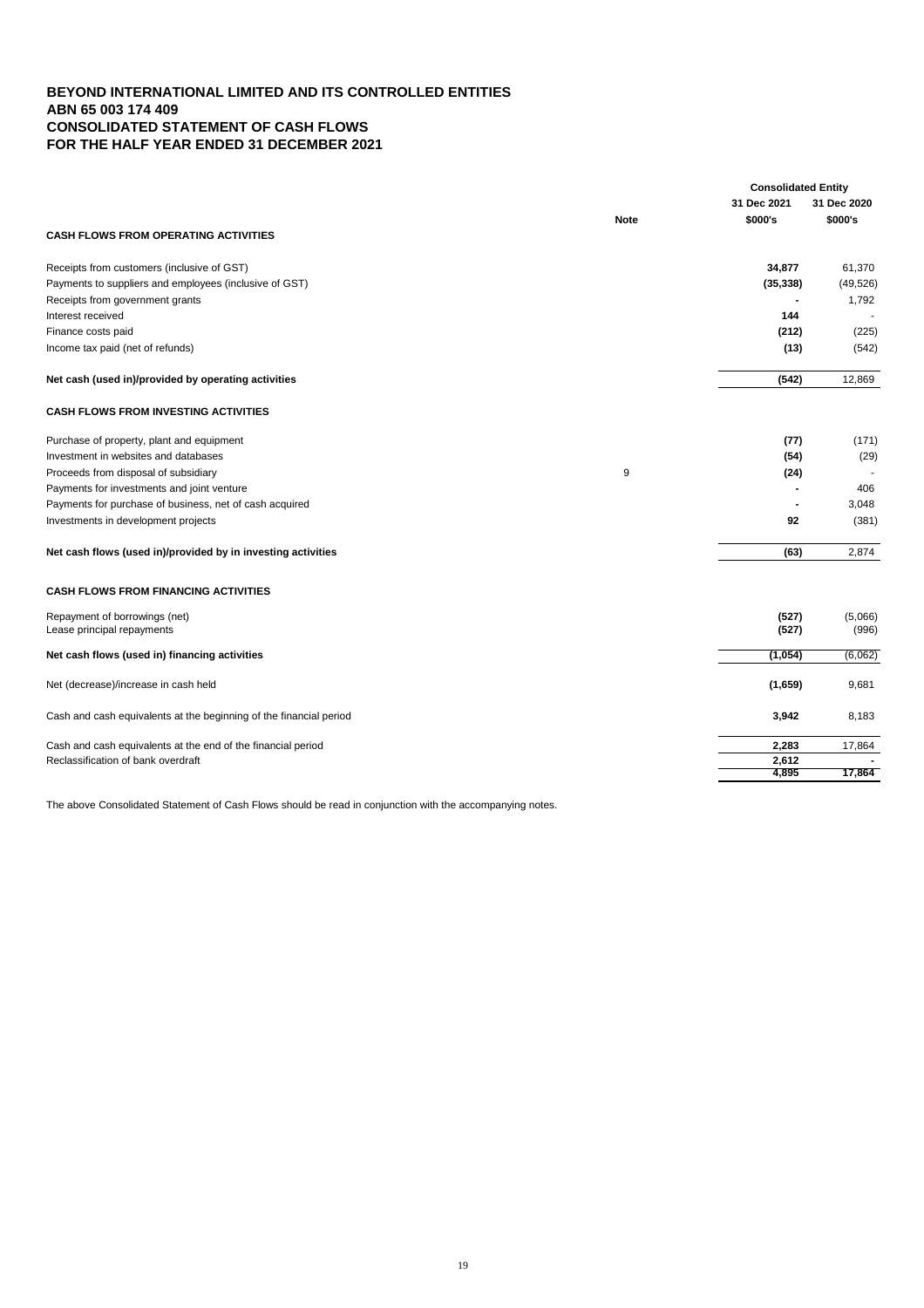# **BEYOND INTERNATIONAL LIMITED AND ITS CONTROLLED ENTITIES ABN 65 003 174 409 CONSOLIDATED STATEMENT OF CASH FLOWS FOR THE HALF YEAR ENDED 31 DECEMBER 2021**

| 31 Dec 2021<br>31 Dec 2020<br>\$000's<br>\$000's<br><b>Note</b><br><b>CASH FLOWS FROM OPERATING ACTIVITIES</b><br>Receipts from customers (inclusive of GST)<br>34,877<br>61,370<br>Payments to suppliers and employees (inclusive of GST)<br>(35, 338)<br>Receipts from government grants<br>1,792<br>144<br>Interest received<br>Finance costs paid<br>(212)<br>Income tax paid (net of refunds)<br>(13)<br>Net cash (used in)/provided by operating activities<br>(542)<br>12,869<br><b>CASH FLOWS FROM INVESTING ACTIVITIES</b><br>Purchase of property, plant and equipment<br>(77)<br>Investment in websites and databases<br>(54)<br>$9\,$<br>Proceeds from disposal of subsidiary<br>(24)<br>Payments for investments and joint venture<br>406<br>Payments for purchase of business, net of cash acquired<br>3,048<br>92<br>Investments in development projects<br>Net cash flows (used in)/provided by in investing activities<br>(63)<br>2,874<br><b>CASH FLOWS FROM FINANCING ACTIVITIES</b><br>Repayment of borrowings (net)<br>(527)<br>(527)<br>Lease principal repayments<br>Net cash flows (used in) financing activities<br>(1,054)<br>Net (decrease)/increase in cash held<br>(1,659)<br>9,681<br>Cash and cash equivalents at the beginning of the financial period<br>8,183<br>3,942<br>Cash and cash equivalents at the end of the financial period<br>2,283<br>17,864<br>Reclassification of bank overdraft<br>2,612<br>17,864<br>4,895 |  |  | <b>Consolidated Entity</b> |
|---------------------------------------------------------------------------------------------------------------------------------------------------------------------------------------------------------------------------------------------------------------------------------------------------------------------------------------------------------------------------------------------------------------------------------------------------------------------------------------------------------------------------------------------------------------------------------------------------------------------------------------------------------------------------------------------------------------------------------------------------------------------------------------------------------------------------------------------------------------------------------------------------------------------------------------------------------------------------------------------------------------------------------------------------------------------------------------------------------------------------------------------------------------------------------------------------------------------------------------------------------------------------------------------------------------------------------------------------------------------------------------------------------------------------------------------------------------|--|--|----------------------------|
|                                                                                                                                                                                                                                                                                                                                                                                                                                                                                                                                                                                                                                                                                                                                                                                                                                                                                                                                                                                                                                                                                                                                                                                                                                                                                                                                                                                                                                                               |  |  |                            |
|                                                                                                                                                                                                                                                                                                                                                                                                                                                                                                                                                                                                                                                                                                                                                                                                                                                                                                                                                                                                                                                                                                                                                                                                                                                                                                                                                                                                                                                               |  |  |                            |
|                                                                                                                                                                                                                                                                                                                                                                                                                                                                                                                                                                                                                                                                                                                                                                                                                                                                                                                                                                                                                                                                                                                                                                                                                                                                                                                                                                                                                                                               |  |  |                            |
|                                                                                                                                                                                                                                                                                                                                                                                                                                                                                                                                                                                                                                                                                                                                                                                                                                                                                                                                                                                                                                                                                                                                                                                                                                                                                                                                                                                                                                                               |  |  |                            |
|                                                                                                                                                                                                                                                                                                                                                                                                                                                                                                                                                                                                                                                                                                                                                                                                                                                                                                                                                                                                                                                                                                                                                                                                                                                                                                                                                                                                                                                               |  |  | (49, 526)                  |
|                                                                                                                                                                                                                                                                                                                                                                                                                                                                                                                                                                                                                                                                                                                                                                                                                                                                                                                                                                                                                                                                                                                                                                                                                                                                                                                                                                                                                                                               |  |  |                            |
|                                                                                                                                                                                                                                                                                                                                                                                                                                                                                                                                                                                                                                                                                                                                                                                                                                                                                                                                                                                                                                                                                                                                                                                                                                                                                                                                                                                                                                                               |  |  |                            |
|                                                                                                                                                                                                                                                                                                                                                                                                                                                                                                                                                                                                                                                                                                                                                                                                                                                                                                                                                                                                                                                                                                                                                                                                                                                                                                                                                                                                                                                               |  |  | (225)                      |
|                                                                                                                                                                                                                                                                                                                                                                                                                                                                                                                                                                                                                                                                                                                                                                                                                                                                                                                                                                                                                                                                                                                                                                                                                                                                                                                                                                                                                                                               |  |  | (542)                      |
|                                                                                                                                                                                                                                                                                                                                                                                                                                                                                                                                                                                                                                                                                                                                                                                                                                                                                                                                                                                                                                                                                                                                                                                                                                                                                                                                                                                                                                                               |  |  |                            |
|                                                                                                                                                                                                                                                                                                                                                                                                                                                                                                                                                                                                                                                                                                                                                                                                                                                                                                                                                                                                                                                                                                                                                                                                                                                                                                                                                                                                                                                               |  |  |                            |
|                                                                                                                                                                                                                                                                                                                                                                                                                                                                                                                                                                                                                                                                                                                                                                                                                                                                                                                                                                                                                                                                                                                                                                                                                                                                                                                                                                                                                                                               |  |  | (171)                      |
|                                                                                                                                                                                                                                                                                                                                                                                                                                                                                                                                                                                                                                                                                                                                                                                                                                                                                                                                                                                                                                                                                                                                                                                                                                                                                                                                                                                                                                                               |  |  | (29)                       |
|                                                                                                                                                                                                                                                                                                                                                                                                                                                                                                                                                                                                                                                                                                                                                                                                                                                                                                                                                                                                                                                                                                                                                                                                                                                                                                                                                                                                                                                               |  |  |                            |
|                                                                                                                                                                                                                                                                                                                                                                                                                                                                                                                                                                                                                                                                                                                                                                                                                                                                                                                                                                                                                                                                                                                                                                                                                                                                                                                                                                                                                                                               |  |  |                            |
|                                                                                                                                                                                                                                                                                                                                                                                                                                                                                                                                                                                                                                                                                                                                                                                                                                                                                                                                                                                                                                                                                                                                                                                                                                                                                                                                                                                                                                                               |  |  |                            |
|                                                                                                                                                                                                                                                                                                                                                                                                                                                                                                                                                                                                                                                                                                                                                                                                                                                                                                                                                                                                                                                                                                                                                                                                                                                                                                                                                                                                                                                               |  |  | (381)                      |
|                                                                                                                                                                                                                                                                                                                                                                                                                                                                                                                                                                                                                                                                                                                                                                                                                                                                                                                                                                                                                                                                                                                                                                                                                                                                                                                                                                                                                                                               |  |  |                            |
|                                                                                                                                                                                                                                                                                                                                                                                                                                                                                                                                                                                                                                                                                                                                                                                                                                                                                                                                                                                                                                                                                                                                                                                                                                                                                                                                                                                                                                                               |  |  |                            |
|                                                                                                                                                                                                                                                                                                                                                                                                                                                                                                                                                                                                                                                                                                                                                                                                                                                                                                                                                                                                                                                                                                                                                                                                                                                                                                                                                                                                                                                               |  |  | (5,066)<br>(996)           |
|                                                                                                                                                                                                                                                                                                                                                                                                                                                                                                                                                                                                                                                                                                                                                                                                                                                                                                                                                                                                                                                                                                                                                                                                                                                                                                                                                                                                                                                               |  |  | (6,062)                    |
|                                                                                                                                                                                                                                                                                                                                                                                                                                                                                                                                                                                                                                                                                                                                                                                                                                                                                                                                                                                                                                                                                                                                                                                                                                                                                                                                                                                                                                                               |  |  |                            |
|                                                                                                                                                                                                                                                                                                                                                                                                                                                                                                                                                                                                                                                                                                                                                                                                                                                                                                                                                                                                                                                                                                                                                                                                                                                                                                                                                                                                                                                               |  |  |                            |
|                                                                                                                                                                                                                                                                                                                                                                                                                                                                                                                                                                                                                                                                                                                                                                                                                                                                                                                                                                                                                                                                                                                                                                                                                                                                                                                                                                                                                                                               |  |  |                            |
|                                                                                                                                                                                                                                                                                                                                                                                                                                                                                                                                                                                                                                                                                                                                                                                                                                                                                                                                                                                                                                                                                                                                                                                                                                                                                                                                                                                                                                                               |  |  |                            |
|                                                                                                                                                                                                                                                                                                                                                                                                                                                                                                                                                                                                                                                                                                                                                                                                                                                                                                                                                                                                                                                                                                                                                                                                                                                                                                                                                                                                                                                               |  |  |                            |

The above Consolidated Statement of Cash Flows should be read in conjunction with the accompanying notes.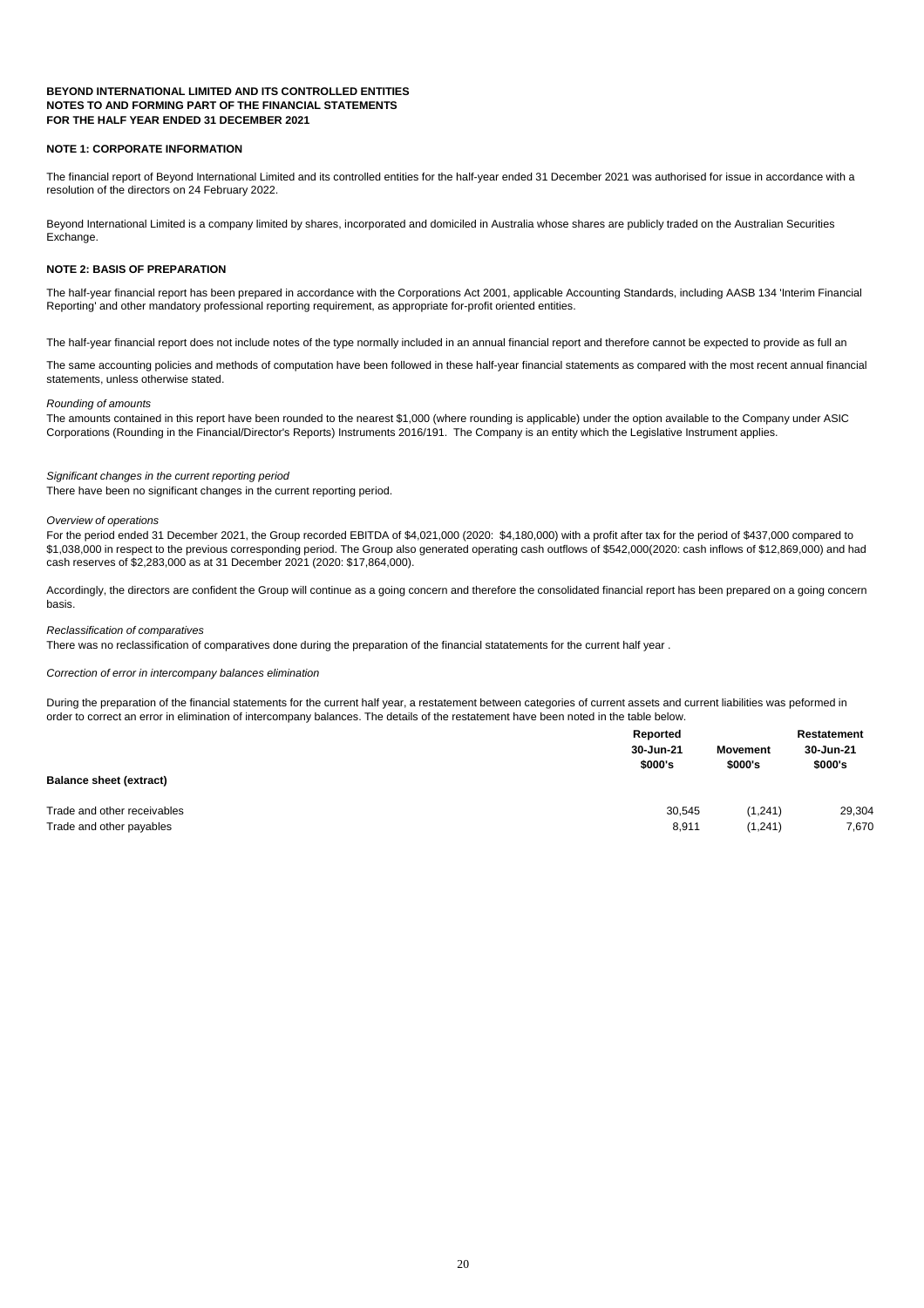#### **NOTE 1: CORPORATE INFORMATION**

#### **NOTE 2: BASIS OF PREPARATION**

#### *Rounding of amounts*

|                                | <b>Reported</b>      |                            | <b>Restatement</b>   |
|--------------------------------|----------------------|----------------------------|----------------------|
|                                | 30-Jun-21<br>\$000's | <b>Movement</b><br>\$000's | 30-Jun-21<br>\$000's |
| <b>Balance sheet (extract)</b> |                      |                            |                      |
| Trade and other receivables    | 30,545               | (1,241)                    | 29,304               |
| Trade and other payables       | 8,911                | (1,241)                    | 7,670                |

During the preparation of the financial statements for the current half year, a restatement between categories of current assets and current liabilities was peformed in order to correct an error in elimination of intercompany balances. The details of the restatement have been noted in the table below.

#### *Correction of error in intercompany balances elimination*

The financial report of Beyond International Limited and its controlled entities for the half-year ended 31 December 2021 was authorised for issue in accordance with a resolution of the directors on 24 February 2022.

Beyond International Limited is a company limited by shares, incorporated and domiciled in Australia whose shares are publicly traded on the Australian Securities Exchange.

The half-year financial report has been prepared in accordance with the Corporations Act 2001, applicable Accounting Standards, including AASB 134 'Interim Financial Reporting' and other mandatory professional reporting requirement, as appropriate for-profit oriented entities.

Accordingly, the directors are confident the Group will continue as a going concern and therefore the consolidated financial report has been prepared on a going concern basis.

The half-year financial report does not include notes of the type normally included in an annual financial report and therefore cannot be expected to provide as full an

#### *Significant changes in the current reporting period*

The same accounting policies and methods of computation have been followed in these half-year financial statements as compared with the most recent annual financial statements, unless otherwise stated.

The amounts contained in this report have been rounded to the nearest \$1,000 (where rounding is applicable) under the option available to the Company under ASIC Corporations (Rounding in the Financial/Director's Reports) Instruments 2016/191. The Company is an entity which the Legislative Instrument applies.

For the period ended 31 December 2021, the Group recorded EBITDA of \$4,021,000 (2020: \$4,180,000) with a profit after tax for the period of \$437,000 compared to \$1,038,000 in respect to the previous corresponding period. The Group also generated operating cash outflows of \$542,000(2020: cash inflows of \$12,869,000) and had cash reserves of \$2,283,000 as at 31 December 2021 (2020: \$17,864,000).

#### *Reclassification of comparatives*

There was no reclassification of comparatives done during the preparation of the financial statatements for the current half year .

There have been no significant changes in the current reporting period.

#### *Overview of operations*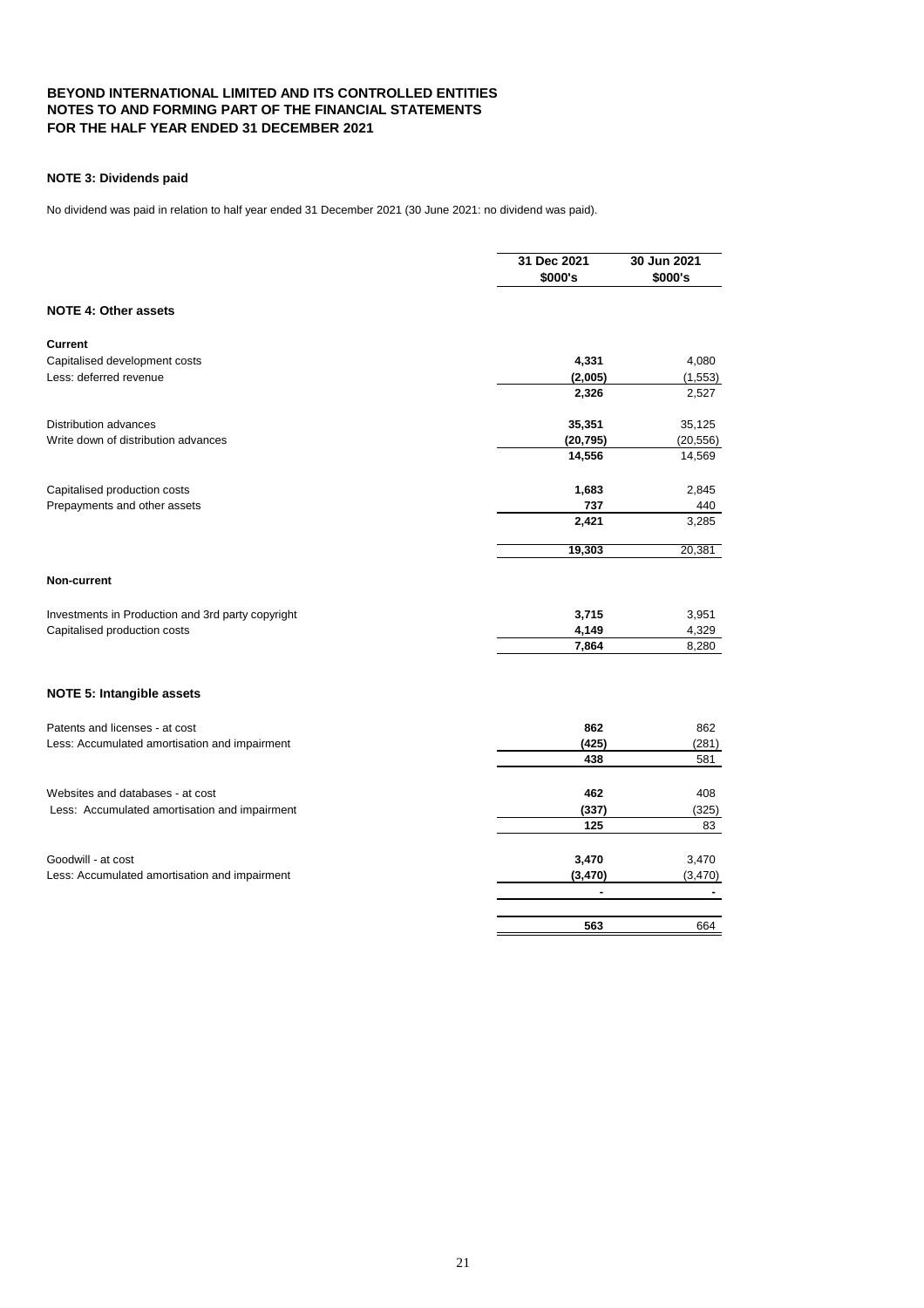#### **NOTE 3: Dividends paid**

|                                                   | 31 Dec 2021<br>\$000's | 30 Jun 2021<br>\$000's |
|---------------------------------------------------|------------------------|------------------------|
| <b>NOTE 4: Other assets</b>                       |                        |                        |
| <b>Current</b>                                    |                        |                        |
| Capitalised development costs                     | 4,331                  | 4,080                  |
| Less: deferred revenue                            | (2,005)                | (1, 553)               |
|                                                   | 2,326                  | 2,527                  |
| <b>Distribution advances</b>                      | 35,351                 | 35,125                 |
| Write down of distribution advances               | (20, 795)              | (20, 556)              |
|                                                   | 14,556                 | 14,569                 |
| Capitalised production costs                      | 1,683                  | 2,845                  |
| Prepayments and other assets                      | 737                    | 440                    |
|                                                   | 2,421                  | 3,285                  |
|                                                   | 19,303                 | 20,381                 |
| <b>Non-current</b>                                |                        |                        |
| Investments in Production and 3rd party copyright | 3,715                  | 3,951                  |
| Capitalised production costs                      | 4,149                  | 4,329                  |
|                                                   | 7,864                  | 8,280                  |
| <b>NOTE 5: Intangible assets</b>                  |                        |                        |
| Patents and licenses - at cost                    | 862                    | 862                    |
| Less: Accumulated amortisation and impairment     | (425)                  | (281)                  |
|                                                   | 438                    | 581                    |
| Websites and databases - at cost                  | 462                    | 408                    |
| Less: Accumulated amortisation and impairment     | (337)                  | (325)                  |
|                                                   | 125                    | 83                     |
| Goodwill - at cost                                | 3,470                  | 3,470                  |
| Less: Accumulated amortisation and impairment     | (3, 470)               | (3,470)                |
|                                                   |                        |                        |
|                                                   | 563                    | 664                    |

No dividend was paid in relation to half year ended 31 December 2021 (30 June 2021: no dividend was paid).

# 21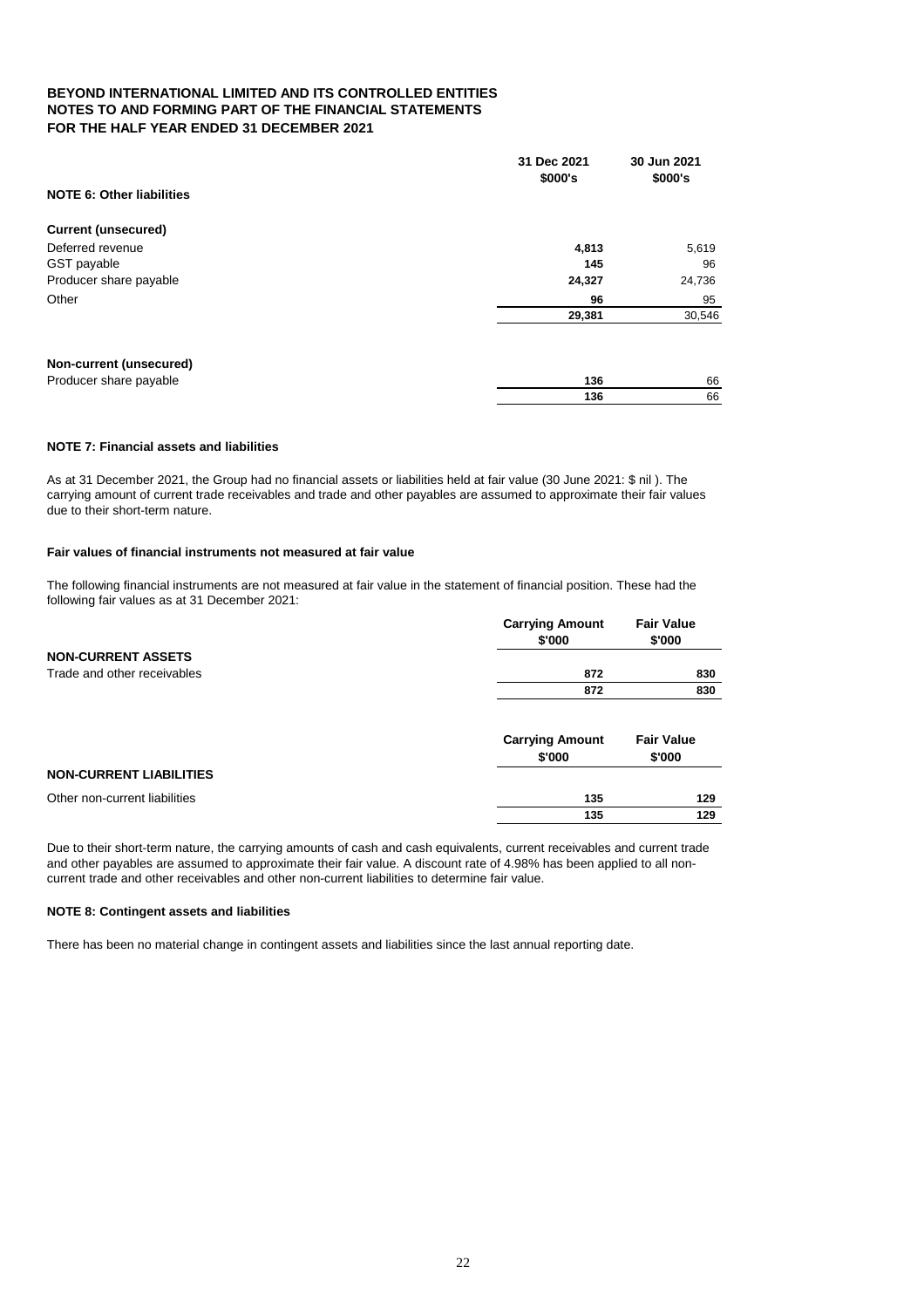|                                  | 31 Dec 2021<br>\$000's | 30 Jun 2021<br>\$000's |
|----------------------------------|------------------------|------------------------|
| <b>NOTE 6: Other liabilities</b> |                        |                        |
| <b>Current (unsecured)</b>       |                        |                        |
| Deferred revenue                 | 4,813                  | 5,619                  |
| GST payable                      | 145                    | 96                     |
| Producer share payable           | 24,327                 | 24,736                 |
| Other                            | 96                     | 95                     |
|                                  | 29,381                 | 30,546                 |
| <b>Non-current (unsecured)</b>   |                        |                        |
| Producer share payable           | 136                    | 66                     |
|                                  | 136                    | 66                     |

#### **NOTE 7: Financial assets and liabilities**

#### **Fair values of financial instruments not measured at fair value**

|                                | <b>Carrying Amount</b><br>\$'000 | <b>Fair Value</b><br>\$'000 |
|--------------------------------|----------------------------------|-----------------------------|
| <b>NON-CURRENT ASSETS</b>      |                                  |                             |
| Trade and other receivables    | 872                              | 830                         |
|                                | 872                              | 830                         |
|                                | <b>Carrying Amount</b><br>\$'000 | <b>Fair Value</b><br>\$'000 |
| <b>NON-CURRENT LIABILITIES</b> |                                  |                             |
| Other non-current liabilities  | 135                              | 129                         |
|                                | 135                              | 129                         |

#### **NOTE 8: Contingent assets and liabilities**

There has been no material change in contingent assets and liabilities since the last annual reporting date.

Due to their short-term nature, the carrying amounts of cash and cash equivalents, current receivables and current trade and other payables are assumed to approximate their fair value. A discount rate of 4.98% has been applied to all noncurrent trade and other receivables and other non-current liabilities to determine fair value.

As at 31 December 2021, the Group had no financial assets or liabilities held at fair value (30 June 2021: \$ nil ). The carrying amount of current trade receivables and trade and other payables are assumed to approximate their fair values due to their short-term nature.

The following financial instruments are not measured at fair value in the statement of financial position. These had the following fair values as at 31 December 2021:

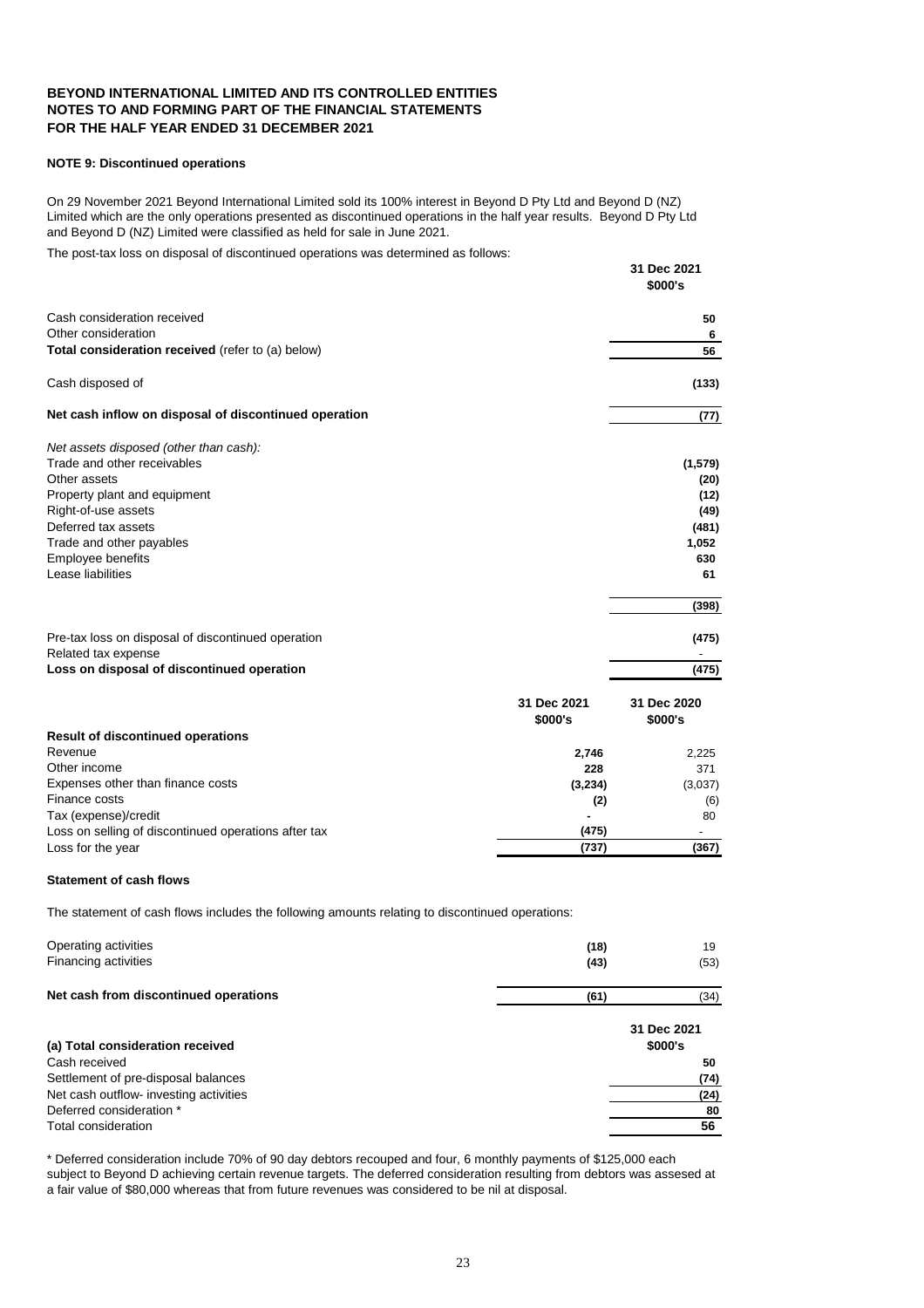#### **NOTE 9: Discontinued operations**

The post-tax loss on disposal of discontinued operations was determined as follows:

**31 Dec 2021**

|                                                       |             | \$000's     |
|-------------------------------------------------------|-------------|-------------|
| Cash consideration received                           |             | 50          |
| Other consideration                                   |             | 6           |
| Total consideration received (refer to (a) below)     |             | 56          |
| Cash disposed of                                      |             | (133)       |
| Net cash inflow on disposal of discontinued operation |             | (77)        |
| Net assets disposed (other than cash):                |             |             |
| Trade and other receivables                           |             | (1, 579)    |
| Other assets                                          |             | (20)        |
| Property plant and equipment                          |             | (12)        |
| Right-of-use assets                                   |             | (49)        |
| Deferred tax assets                                   |             | (481)       |
| Trade and other payables                              |             | 1,052       |
| Employee benefits                                     |             | 630         |
| Lease liabilities                                     |             | 61          |
|                                                       |             | (398)       |
| Pre-tax loss on disposal of discontinued operation    |             | (475)       |
| Related tax expense                                   |             |             |
| Loss on disposal of discontinued operation            |             | (475)       |
|                                                       | 31 Dec 2021 | 31 Dec 2020 |
|                                                       | \$000's     | \$000's     |
| <b>Result of discontinued operations</b>              |             |             |
| Revenue                                               | 2,746       | 2,225       |
| Other income                                          | 228         | 371         |
| Expenses other than finance costs                     | (3, 234)    | (3,037)     |
| Finance costs                                         | (2)         | (6)         |
| Tax (expense)/credit                                  |             | 80          |
| Loss on selling of discontinued operations after tax  | (475)       |             |
| Loss for the year                                     | (737)       | (367)       |

#### **Statement of cash flows**

The statement of cash flows includes the following amounts relating to discontinued operations:

| Operating activities                  | (18) | 19   |
|---------------------------------------|------|------|
| <b>Financing activities</b>           | (43) | (53) |
| Net cash from discontinued operations | (61) | (34) |

|                                        | 31 Dec 2021 |
|----------------------------------------|-------------|
| (a) Total consideration received       | \$000's     |
| Cash received                          | 50          |
| Settlement of pre-disposal balances    | (74)        |
| Net cash outflow- investing activities | (24)        |
| Deferred consideration *               | 80          |
| Total consideration                    | 56          |
|                                        |             |

\* Deferred consideration include 70% of 90 day debtors recouped and four, 6 monthly payments of \$125,000 each subject to Beyond D achieving certain revenue targets. The deferred consideration resulting from debtors was assesed at a fair value of \$80,000 whereas that from future revenues was considered to be nil at disposal.

On 29 November 2021 Beyond International Limited sold its 100% interest in Beyond D Pty Ltd and Beyond D (NZ) Limited which are the only operations presented as discontinued operations in the half year results. Beyond D Pty Ltd and Beyond D (NZ) Limited were classified as held for sale in June 2021.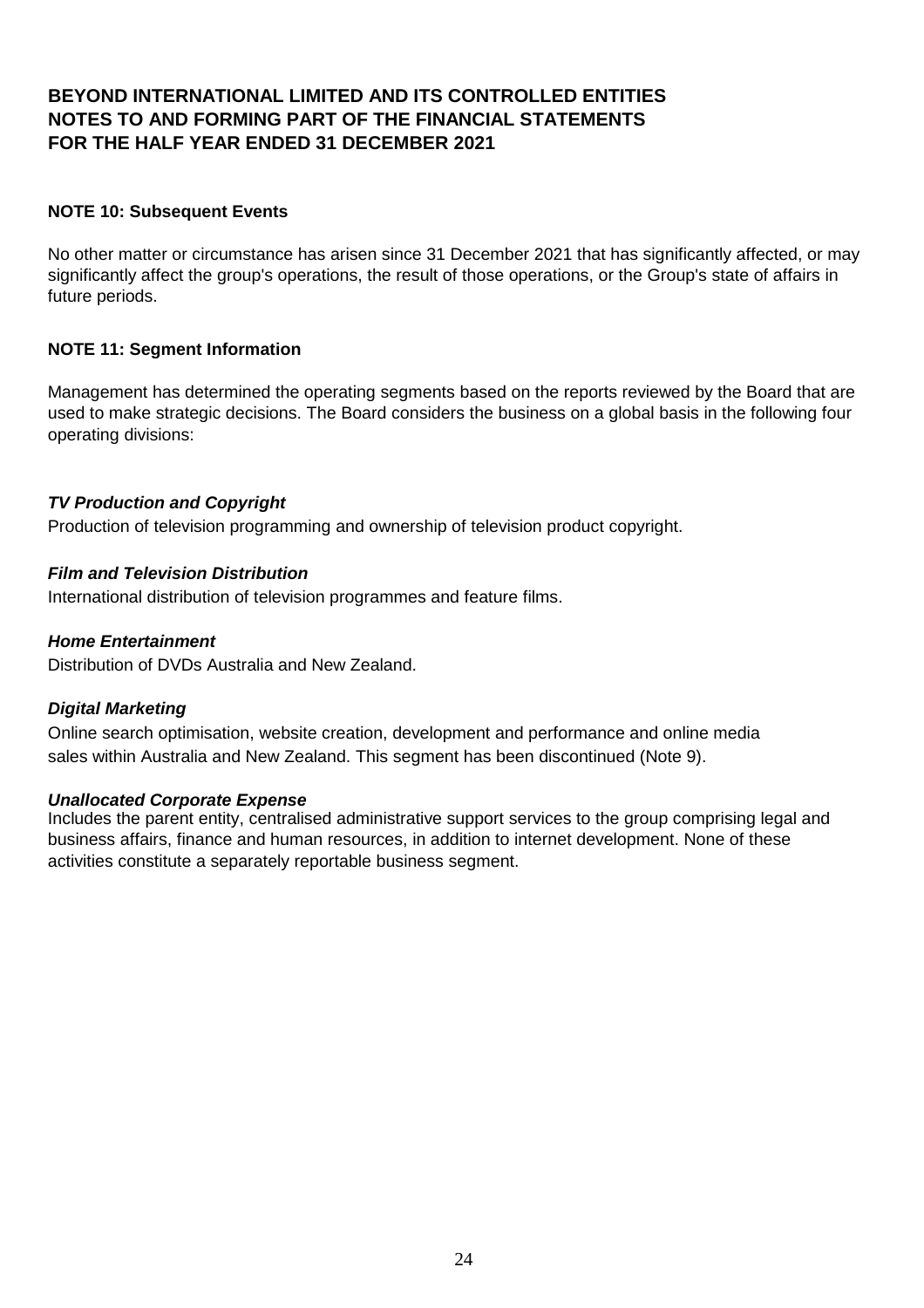#### **NOTE 10: Subsequent Events**

No other matter or circumstance has arisen since 31 December 2021 that has significantly affected, or may significantly affect the group's operations, the result of those operations, or the Group's state of affairs in future periods.

#### **NOTE 11: Segment Information**

Management has determined the operating segments based on the reports reviewed by the Board that are used to make strategic decisions. The Board considers the business on a global basis in the following four operating divisions:

#### *TV Production and Copyright*

Production of television programming and ownership of television product copyright.

#### *Film and Television Distribution*

International distribution of television programmes and feature films.

#### *Home Entertainment*

Distribution of DVDs Australia and New Zealand.

#### *Digital Marketing*

Online search optimisation, website creation, development and performance and online media sales within Australia and New Zealand. This segment has been discontinued (Note 9).

#### *Unallocated Corporate Expense*

Includes the parent entity, centralised administrative support services to the group comprising legal and business affairs, finance and human resources, in addition to internet development. None of these activities constitute a separately reportable business segment.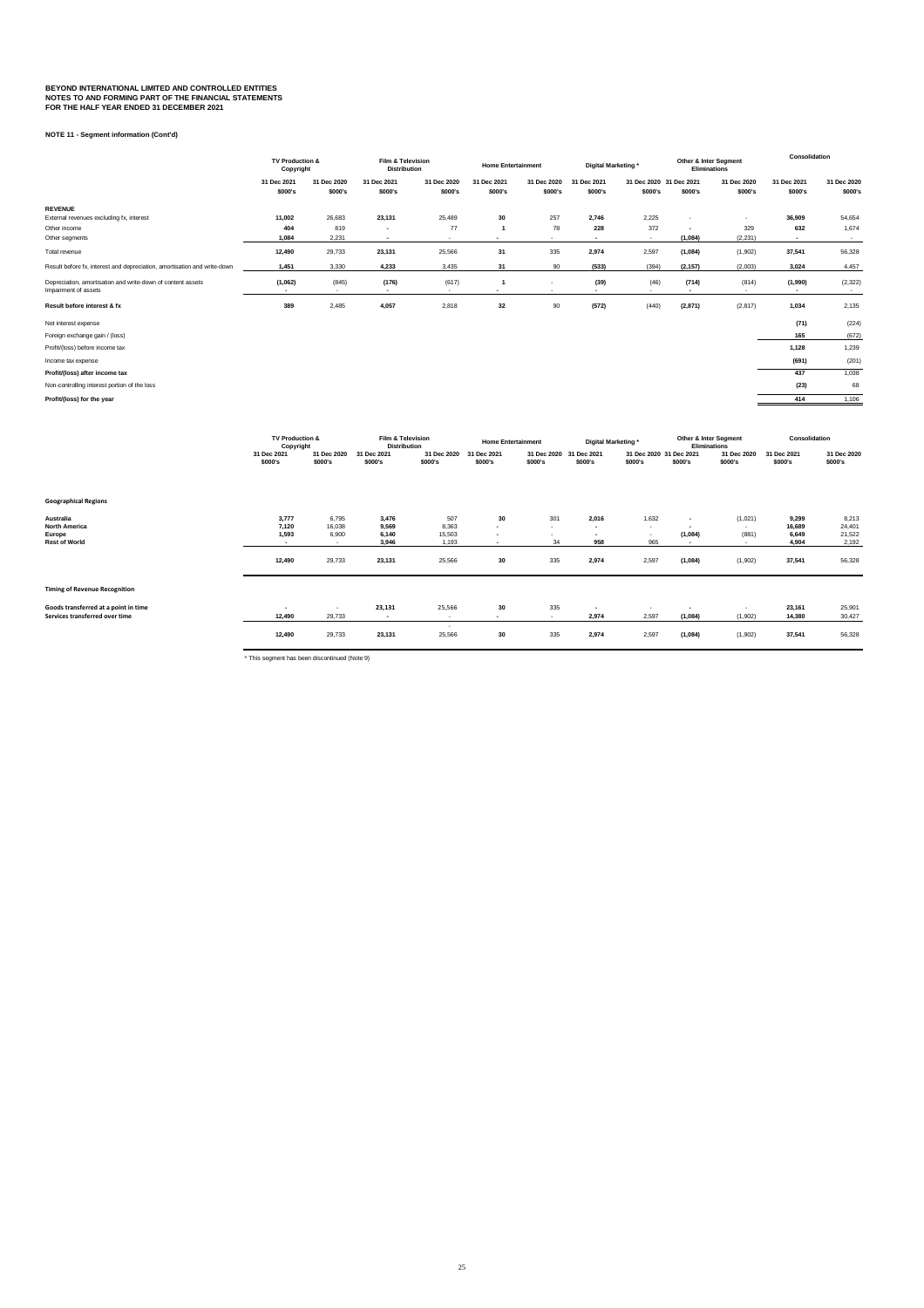**NOTE 11 - Segment information (Cont'd)**

|                                                                                     | <b>TV Production &amp;</b><br>Copyright |                 | <b>Film &amp; Television</b><br><b>Distribution</b> |                 | <b>Home Entertainment</b> |             | Digital Marketing* |                         | <b>Other &amp; Inter Segment</b><br><b>Eliminations</b> |                     | <b>Consolidation</b>      |                    |         |         |         |
|-------------------------------------------------------------------------------------|-----------------------------------------|-----------------|-----------------------------------------------------|-----------------|---------------------------|-------------|--------------------|-------------------------|---------------------------------------------------------|---------------------|---------------------------|--------------------|---------|---------|---------|
|                                                                                     | 31 Dec 2021                             | 31 Dec 2020     | 31 Dec 2021                                         | 31 Dec 2020     | 31 Dec 2021               | 31 Dec 2020 | 31 Dec 2021        | 31 Dec 2020 31 Dec 2021 |                                                         | 31 Dec 2020         | 31 Dec 2021               | 31 Dec 2020        |         |         |         |
|                                                                                     | \$000's                                 |                 |                                                     |                 | \$000's                   | \$000's     | \$000's            | \$000's                 | \$000's                                                 | \$000's             | \$000's                   | \$000's            | \$000's | \$000's | \$000's |
| <b>REVENUE</b>                                                                      |                                         |                 |                                                     |                 |                           |             |                    |                         |                                                         |                     |                           |                    |         |         |         |
| External revenues excluding fx, interest                                            | 11,002                                  | 26,683          | 23,131                                              | 25,489          | 30                        | 257         | 2,746              | 2,225                   | $\overline{\phantom{a}}$                                |                     | 36,909                    | 54,654             |         |         |         |
| Other income                                                                        | 404                                     | 819             | $\blacksquare$                                      | 77              |                           | 78          | 228                | 372                     |                                                         | 329                 | 632                       | 1,674              |         |         |         |
| Other segments                                                                      | 1,084                                   | 2,231           | $\sim$                                              | $\sim$          | $\blacksquare$            | $\sim$      | $\sim$             | $\sim$                  | (1,084)                                                 | (2, 231)            | $\sim$                    | $\sim$             |         |         |         |
| Total revenue                                                                       | 12,490                                  | 29,733          | 23,131                                              | 25,566          | 31                        | 335         | 2,974              | 2,597                   | (1,084)                                                 | (1,902)             | 37,541                    | 56,328             |         |         |         |
| Result before fx, interest and depreciation, amortisation and write-down            | 1,451                                   | 3,330           | 4,233                                               | 3,435           | 31                        | 90          | (533)              | (394)                   | (2, 157)                                                | (2,003)             | 3,024                     | 4,457              |         |         |         |
| Depreciation, amortisation and write-down of content assets<br>Impairment of assets | (1,062)<br>$\sim$                       | (845)<br>$\sim$ | (176)<br>$\sim$                                     | (617)<br>$\sim$ | $\blacksquare$            | $\sim$      | (39)<br>$\sim$     | (46)                    | (714)<br>$\blacksquare$                                 | (814)<br>$\sim$ $-$ | (1,990)<br>$\blacksquare$ | (2, 322)<br>$\sim$ |         |         |         |
| Result before interest & fx                                                         | 389                                     | 2,485           | 4,057                                               | 2,818           | 32                        | 90          | (572)              | (440)                   | (2,871)                                                 | (2, 817)            | 1,034                     | 2,135              |         |         |         |
| Net interest expense                                                                |                                         |                 |                                                     |                 |                           |             |                    |                         |                                                         |                     | (71)                      | (224)              |         |         |         |
| Foreign exchange gain / (loss)                                                      |                                         |                 |                                                     |                 |                           |             |                    |                         |                                                         |                     | 165                       | (672)              |         |         |         |
| Profit/(loss) before income tax                                                     |                                         |                 |                                                     |                 |                           |             |                    |                         |                                                         |                     | 1,128                     | 1,239              |         |         |         |
| Income tax expense                                                                  |                                         |                 |                                                     |                 |                           |             |                    |                         |                                                         |                     | (691)                     | (201)              |         |         |         |
| Profit/(loss) after income tax                                                      |                                         |                 |                                                     |                 |                           |             |                    |                         |                                                         |                     | 437                       | 1,038              |         |         |         |
| Non-controlling interest portion of the loss                                        |                                         |                 |                                                     |                 |                           |             |                    |                         |                                                         |                     | (23)                      | 68                 |         |         |         |
| Profit/(loss) for the year                                                          |                                         |                 |                                                     |                 |                           |             |                    |                         |                                                         |                     | 414                       | 1,106              |         |         |         |

|                                                                                   | TV Production &<br>Copyright      |                                    | <b>Film &amp; Television</b><br><b>Distribution</b> |                                 | <b>Home Entertainment</b>        |                                    | Digital Marketing*               |                                    | <b>Other &amp; Inter Segment</b><br><b>Eliminations</b> |                                                | <b>Consolidation</b>              |                                    |
|-----------------------------------------------------------------------------------|-----------------------------------|------------------------------------|-----------------------------------------------------|---------------------------------|----------------------------------|------------------------------------|----------------------------------|------------------------------------|---------------------------------------------------------|------------------------------------------------|-----------------------------------|------------------------------------|
|                                                                                   | 31 Dec 2021<br>\$000's            | 31 Dec 2020<br>\$000's             | 31 Dec 2021<br>\$000's                              | 31 Dec 2020<br>\$000's          | 31 Dec 2021<br>\$000's           | 31 Dec 2020 31 Dec 2021<br>\$000's | \$000's                          | 31 Dec 2020 31 Dec 2021<br>\$000's | \$000's                                                 | 31 Dec 2020<br>\$000's                         | 31 Dec 2021<br>\$000's            | 31 Dec 2020<br>\$000's             |
|                                                                                   |                                   |                                    |                                                     |                                 |                                  |                                    |                                  |                                    |                                                         |                                                |                                   |                                    |
| <b>Geographical Regions</b>                                                       |                                   |                                    |                                                     |                                 |                                  |                                    |                                  |                                    |                                                         |                                                |                                   |                                    |
| <b>Australia</b><br><b>North America</b><br><b>Europe</b><br><b>Rest of World</b> | 3,777<br>7,120<br>1,593<br>$\sim$ | 6,795<br>16,038<br>6,900<br>$\sim$ | 3,476<br>9,569<br>6,140<br>3,946                    | 507<br>8,363<br>15,503<br>1,193 | 30<br>$\sim$<br>$\sim$<br>$\sim$ | 301<br>$\sim$<br>$\sim$<br>34      | 2,016<br>$\sim$<br>$\sim$<br>958 | 1,632<br>$\sim$<br>$\sim$<br>965   | $\sim$<br>(1,084)<br>$\sim$                             | (1,021)<br>$\sim$<br>(881)<br>$\sim$ 100 $\pm$ | 9,299<br>16,689<br>6,649<br>4,904 | 8,213<br>24,401<br>21,522<br>2,192 |
|                                                                                   | 12,490                            | 29,733                             | 23,131                                              | 25,566                          | 30                               | 335                                | 2,974                            | 2,597                              | (1,084)                                                 | (1,902)                                        | 37,541                            | 56,328                             |
| <b>Timing of Revenue Recognition</b>                                              |                                   |                                    |                                                     |                                 |                                  |                                    |                                  |                                    |                                                         |                                                |                                   |                                    |
| Goods transferred at a point in time<br>Services transferred over time            | $\blacksquare$<br>12,490          | $\sim$<br>29,733                   | 23,131<br>$\sim$                                    | 25,566<br>$\sim$                | 30                               | 335<br>$\sim$                      | $\sim$<br>2,974                  | $\sim$<br>2,597                    | $\sim$<br>(1,084)                                       | $\sim$<br>(1,902)                              | 23,161<br>14,380                  | 25,901<br>30,427                   |
|                                                                                   | 12,490                            | 29,733                             | 23,131                                              | $\sim$<br>25,566                | 30                               | 335                                | 2,974                            | 2,597                              | (1,084)                                                 | (1,902)                                        | 37,541                            | 56,328                             |

\* This segment has been discontinued (Note 9)

25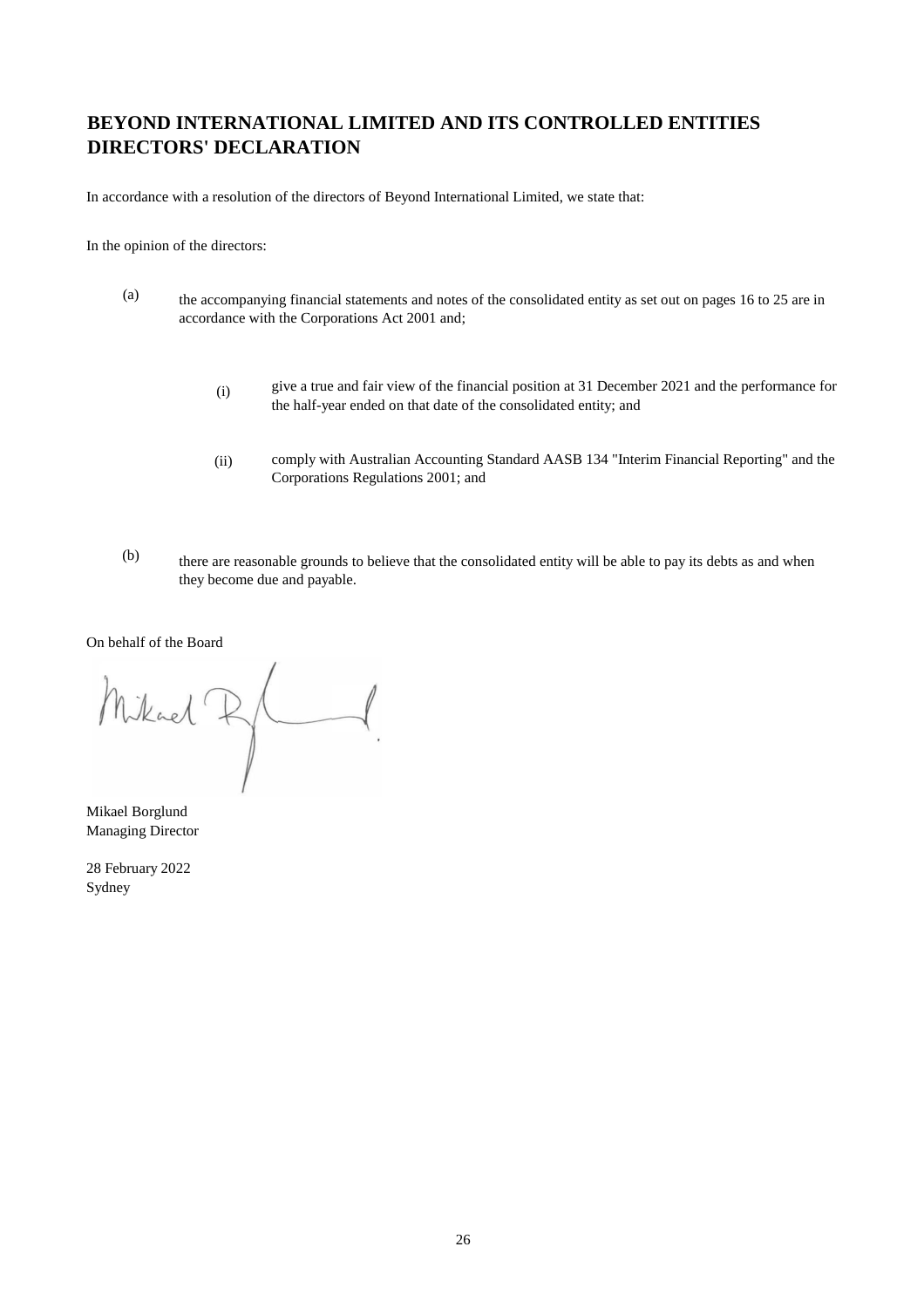# **BEYOND INTERNATIONAL LIMITED AND ITS CONTROLLED ENTITIES DIRECTORS' DECLARATION**

In accordance with a resolution of the directors of Beyond International Limited, we state that:

In the opinion of the directors:

- (a) the accompanying financial statements and notes of the consolidated entity as set out on pages 16 to 25 are in accordance with the Corporations Act 2001 and;
	- (i) give a true and fair view of the financial position at 31 December 2021 and the performance for the half-year ended on that date of the consolidated entity; and
	- (ii) comply with Australian Accounting Standard AASB 134 "Interim Financial Reporting" and the Corporations Regulations 2001; and
- (b) there are reasonable grounds to believe that the consolidated entity will be able to pay its debts as and when they become due and payable.

On behalf of the Board

Mikael R/

Mikael Borglund Managing Director

28 February 2022 Sydney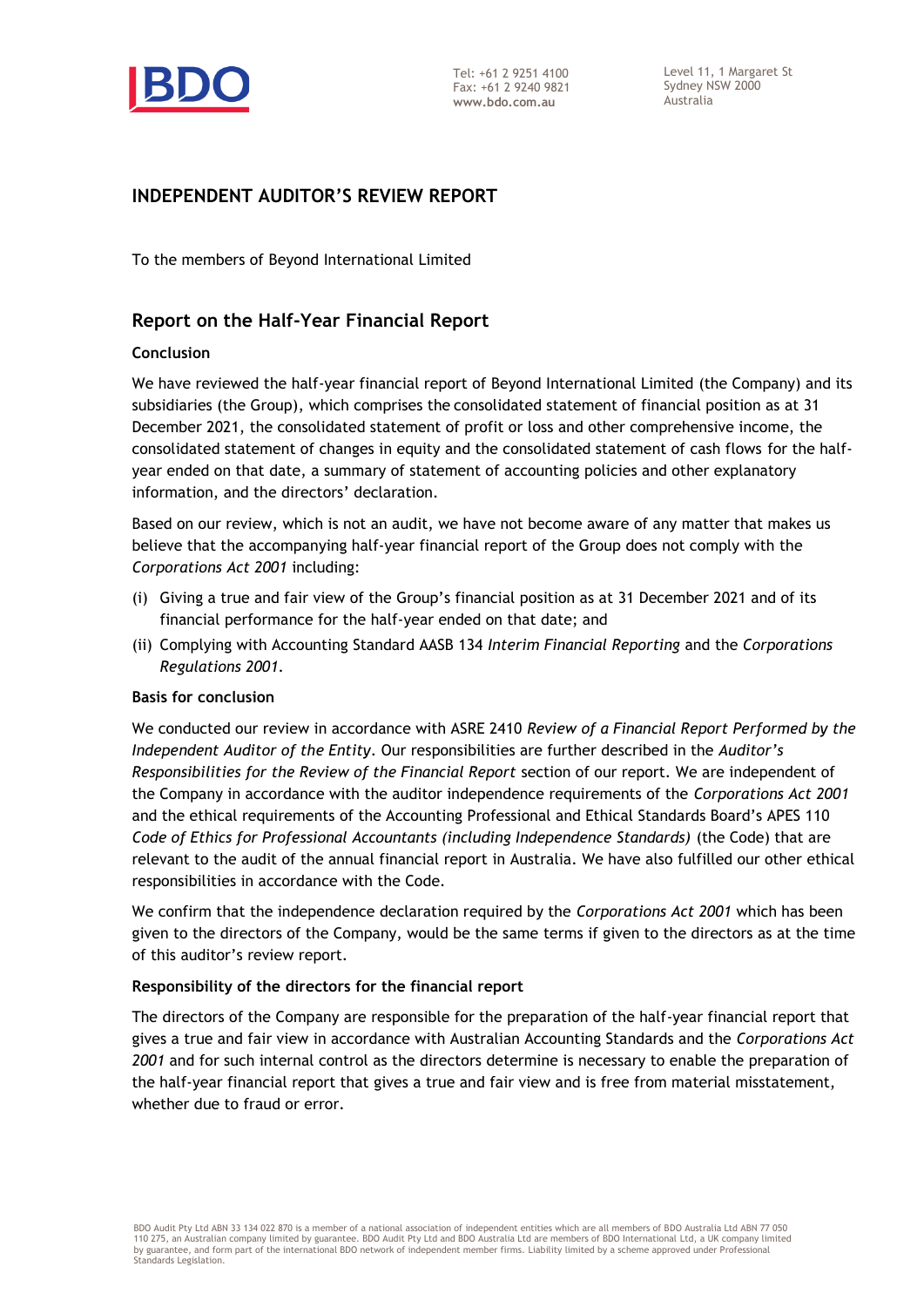

Level 11, 1 Margaret St Sydney NSW 2000 Australia

#### **INDEPENDENT AUDITOR'S REVIEW REPORT**

To the members of Beyond International Limited

#### **Report on the Half-Year Financial Report**

#### **Conclusion**

We have reviewed the half-year financial report of Beyond International Limited (the Company) and its subsidiaries (the Group), which comprises the consolidated statement of financial position as at 31 December 2021, the consolidated statement of profit or loss and other comprehensive income, the consolidated statement of changes in equity and the consolidated statement of cash flows for the halfyear ended on that date, a summary of statement of accounting policies and other explanatory information, and the directors' declaration.

Based on our review, which is not an audit, we have not become aware of any matter that makes us believe that the accompanying half-year financial report of the Group does not comply with the *Corporations Act 2001* including:

- (i) Giving a true and fair view of the Group's financial position as at 31 December 2021 and of its financial performance for the half-year ended on that date; and
- (ii) Complying with Accounting Standard AASB 134 *Interim Financial Reporting* and the *Corporations Regulations 2001.*

#### **Basis for conclusion**

We conducted our review in accordance with ASRE 2410 *Review of a Financial Report Performed by the Independent Auditor of the Entity*. Our responsibilities are further described in the *Auditor's Responsibilities for the Review of the Financial Report* section of our report. We are independent of the Company in accordance with the auditor independence requirements of the *Corporations Act 2001* and the ethical requirements of the Accounting Professional and Ethical Standards Board's APES 110 *Code of Ethics for Professional Accountants (including Independence Standards)* (the Code) that are relevant to the audit of the annual financial report in Australia. We have also fulfilled our other ethical responsibilities in accordance with the Code.

We confirm that the independence declaration required by the *Corporations Act 2001* which has been given to the directors of the Company, would be the same terms if given to the directors as at the time of this auditor's review report.

#### **Responsibility of the directors for the financial report**

The directors of the Company are responsible for the preparation of the half-year financial report that gives a true and fair view in accordance with Australian Accounting Standards and the *Corporations Act 2001* and for such internal control as the directors determine is necessary to enable the preparation of the half-year financial report that gives a true and fair view and is free from material misstatement, whether due to fraud or error.